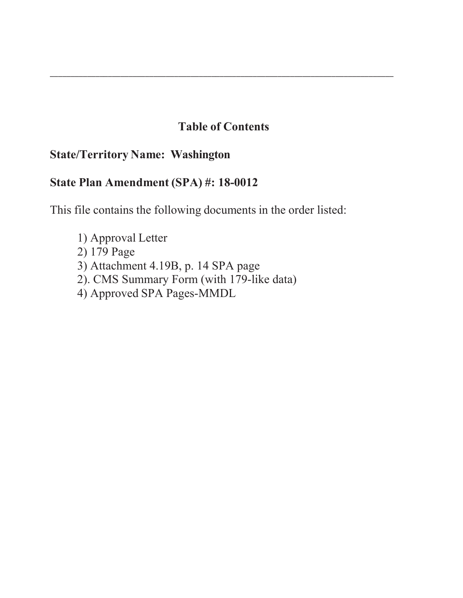### **Table of Contents**

\_\_\_\_\_\_\_\_\_\_\_\_\_\_\_\_\_\_\_\_\_\_\_\_\_\_\_\_\_\_\_\_\_\_\_\_\_\_\_\_\_\_\_\_\_\_\_\_\_\_\_\_\_\_\_\_\_\_\_\_\_\_\_\_\_\_\_\_\_\_\_\_\_\_\_\_\_\_\_\_\_\_\_

### **State/Territory Name: Washington**

### **State Plan Amendment (SPA) #: 18-0012**

This file contains the following documents in the order listed:

- 1) Approval Letter
- 2) 179 Page
- 3) Attachment 4.19B, p. 14 SPA page
- 2). CMS Summary Form (with 179-like data)
- 4) Approved SPA Pages-MMDL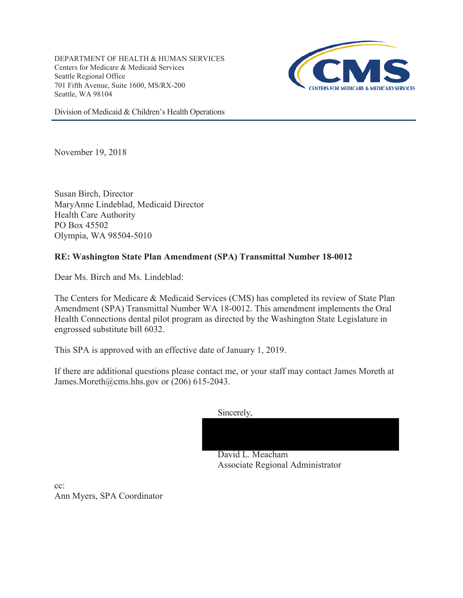DEPARTMENT OF HEALTH & HUMAN SERVICES Centers for Medicare & Medicaid Services Seattle Regional Office 701 Fifth Avenue, Suite 1600, MS/RX-200 Seattle, WA 98104



Division of Medicaid & Children's Health Operations

November 19, 2018

Susan Birch, Director MaryAnne Lindeblad, Medicaid Director Health Care Authority PO Box 45502 Olympia, WA 98504-5010

### **RE: Washington State Plan Amendment (SPA) Transmittal Number 18-0012**

Dear Ms. Birch and Ms. Lindeblad:

The Centers for Medicare & Medicaid Services (CMS) has completed its review of State Plan Amendment (SPA) Transmittal Number WA 18-0012. This amendment implements the Oral Health Connections dental pilot program as directed by the Washington State Legislature in engrossed substitute bill 6032.

This SPA is approved with an effective date of January 1, 2019.

If there are additional questions please contact me, or your staff may contact James Moreth at James.Moreth@cms.hhs.gov or (206) 615-2043.

Sincerely,

David L. Meacham Associate Regional Administrator

cc: Ann Myers, SPA Coordinator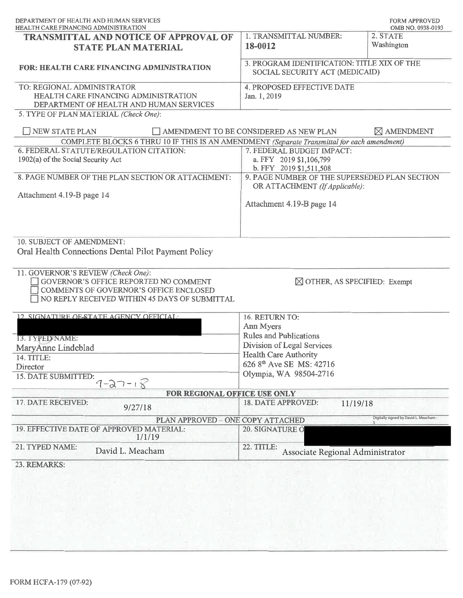| DEPARTMENT OF HEALTH AND HUMAN SERVICES<br>HEALTH CARE FINANCING ADMINISTRATION             |                                                                               | <b>FORM APPROVED</b><br>OMB NO. 0938-0193 |
|---------------------------------------------------------------------------------------------|-------------------------------------------------------------------------------|-------------------------------------------|
| <b>TRANSMITTAL AND NOTICE OF APPROVAL OF</b>                                                | 1. TRANSMITTAL NUMBER:                                                        | 2. STATE                                  |
| <b>STATE PLAN MATERIAL</b>                                                                  | 18-0012                                                                       | Washington                                |
|                                                                                             |                                                                               |                                           |
| <b>FOR: HEALTH CARE FINANCING ADMINISTRATION</b>                                            | 3. PROGRAM IDENTIFICATION: TITLE XIX OF THE<br>SOCIAL SECURITY ACT (MEDICAID) |                                           |
| TO: REGIONAL ADMINISTRATOR                                                                  | 4. PROPOSED EFFECTIVE DATE                                                    |                                           |
| HEALTH CARE FINANCING ADMINISTRATION                                                        | Jan. 1, 2019                                                                  |                                           |
| DEPARTMENT OF HEALTH AND HUMAN SERVICES                                                     |                                                                               |                                           |
| 5. TYPE OF PLAN MATERIAL (Check One):                                                       |                                                                               |                                           |
| NEW STATE PLAN                                                                              | AMENDMENT TO BE CONSIDERED AS NEW PLAN                                        | $\boxtimes$ AMENDMENT                     |
| COMPLETE BLOCKS 6 THRU 10 IF THIS IS AN AMENDMENT (Separate Transmittal for each amendment) |                                                                               |                                           |
| 6. FEDERAL STATUTE/REGULATION CITATION:                                                     | 7. FEDERAL BUDGET IMPACT:                                                     |                                           |
| 1902(a) of the Social Security Act                                                          | a. FFY 2019 \$1,106,799                                                       |                                           |
| 8. PAGE NUMBER OF THE PLAN SECTION OR ATTACHMENT:                                           | b. FFY 2019 \$1,511,508<br>9. PAGE NUMBER OF THE SUPERSEDED PLAN SECTION      |                                           |
|                                                                                             | OR ATTACHMENT (If Applicable):                                                |                                           |
| Attachment 4.19-B page 14                                                                   |                                                                               |                                           |
|                                                                                             | Attachment 4.19-B page 14                                                     |                                           |
|                                                                                             |                                                                               |                                           |
|                                                                                             |                                                                               |                                           |
|                                                                                             |                                                                               |                                           |
| 10. SUBJECT OF AMENDMENT:                                                                   |                                                                               |                                           |
| Oral Health Connections Dental Pilot Payment Policy                                         |                                                                               |                                           |
|                                                                                             |                                                                               |                                           |
| 11. GOVERNOR'S REVIEW (Check One):                                                          |                                                                               |                                           |
| GOVERNOR'S OFFICE REPORTED NO COMMENT                                                       | $\boxtimes$ OTHER, AS SPECIFIED: Exempt                                       |                                           |
| COMMENTS OF GOVERNOR'S OFFICE ENCLOSED                                                      |                                                                               |                                           |
| NO REPLY RECEIVED WITHIN 45 DAYS OF SUBMITTAL                                               |                                                                               |                                           |
| 12. SIGNATURE OF STATE AGENCY OFFICIAL:                                                     | 16. RETURN TO:                                                                |                                           |
|                                                                                             | Ann Myers                                                                     |                                           |
|                                                                                             | <b>Rules and Publications</b>                                                 |                                           |
| 13. TYPED NAME:                                                                             | Division of Legal Services                                                    |                                           |
| MaryAnne Lindeblad                                                                          | <b>Health Care Authority</b>                                                  |                                           |
| 14. TITLE:                                                                                  | 626 8 <sup>th</sup> Ave SE MS: 42716                                          |                                           |
| Director<br>15. DATE SUBMITTED:                                                             | Olympia, WA 98504-2716                                                        |                                           |
| $7 - 27 - 18$                                                                               |                                                                               |                                           |
| FOR REGIONAL OFFICE USE ONLY                                                                |                                                                               |                                           |
| 17. DATE RECEIVED:                                                                          | 18. DATE APPROVED:<br>11/19/18                                                |                                           |
| 9/27/18                                                                                     |                                                                               |                                           |
| PLAN APPROVED - ONE COPY ATTACHED                                                           |                                                                               | Digitally signed by David L. Meacham -    |
| 19. EFFECTIVE DATE OF APPROVED MATERIAL:<br>1/1/19                                          | 20. SIGNATURE Q                                                               |                                           |
| 21. TYPED NAME:<br>David L. Meacham                                                         | 22. TITLE:<br>Associate Regional Administrator                                |                                           |
| 23. REMARKS:                                                                                |                                                                               |                                           |
|                                                                                             |                                                                               |                                           |
|                                                                                             |                                                                               |                                           |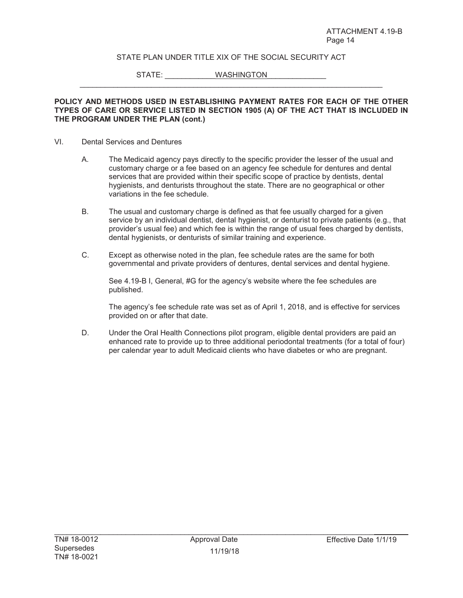#### STATE PLAN UNDER TITLE XIX OF THE SOCIAL SECURITY ACT

 $\_$  , and the set of the set of the set of the set of the set of the set of the set of the set of the set of the set of the set of the set of the set of the set of the set of the set of the set of the set of the set of th

STATE: WASHINGTON

#### **POLICY AND METHODS USED IN ESTABLISHING PAYMENT RATES FOR EACH OF THE OTHER TYPES OF CARE OR SERVICE LISTED IN SECTION 1905 (A) OF THE ACT THAT IS INCLUDED IN THE PROGRAM UNDER THE PLAN (cont.)**

#### VI. Dental Services and Dentures

- A. The Medicaid agency pays directly to the specific provider the lesser of the usual and customary charge or a fee based on an agency fee schedule for dentures and dental services that are provided within their specific scope of practice by dentists, dental hygienists, and denturists throughout the state. There are no geographical or other variations in the fee schedule.
- B. The usual and customary charge is defined as that fee usually charged for a given service by an individual dentist, dental hygienist, or denturist to private patients (e.g., that provider's usual fee) and which fee is within the range of usual fees charged by dentists, dental hygienists, or denturists of similar training and experience.
- C. Except as otherwise noted in the plan, fee schedule rates are the same for both governmental and private providers of dentures, dental services and dental hygiene.

See 4.19-B I, General, #G for the agency's website where the fee schedules are published.

The agency's fee schedule rate was set as of April 1, 2018, and is effective for services provided on or after that date.

D. Under the Oral Health Connections pilot program, eligible dental providers are paid an enhanced rate to provide up to three additional periodontal treatments (for a total of four) per calendar year to adult Medicaid clients who have diabetes or who are pregnant.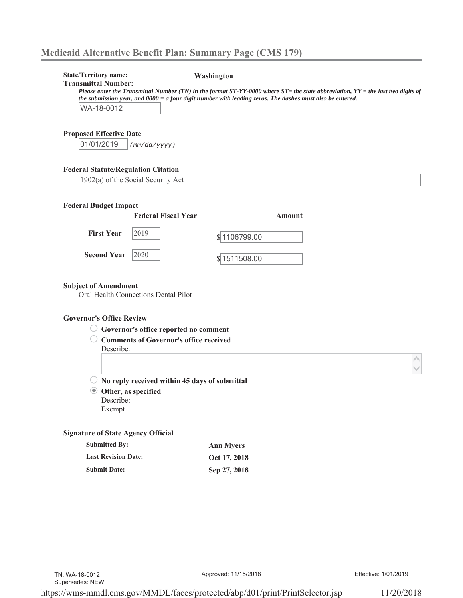| <b>State/Territory name:</b><br><b>Transmittal Number:</b><br>WA-18-0012 |                                                                                        | Washington<br>Please enter the Transmittal Number (TN) in the format $ST-YY-0000$ where $ST=$ the state abbreviation, $YY=$ the last two digits of<br>the submission year, and 0000 = a four digit number with leading zeros. The dashes must also be entered. |  |
|--------------------------------------------------------------------------|----------------------------------------------------------------------------------------|----------------------------------------------------------------------------------------------------------------------------------------------------------------------------------------------------------------------------------------------------------------|--|
| <b>Proposed Effective Date</b>                                           |                                                                                        |                                                                                                                                                                                                                                                                |  |
| 01/01/2019                                                               | (mm/dd/yyyy)                                                                           |                                                                                                                                                                                                                                                                |  |
| <b>Federal Statute/Regulation Citation</b>                               |                                                                                        |                                                                                                                                                                                                                                                                |  |
| 1902(a) of the Social Security Act                                       |                                                                                        |                                                                                                                                                                                                                                                                |  |
| <b>Federal Budget Impact</b>                                             |                                                                                        |                                                                                                                                                                                                                                                                |  |
|                                                                          | <b>Federal Fiscal Year</b>                                                             | Amount                                                                                                                                                                                                                                                         |  |
| <b>First Year</b>                                                        | 2019                                                                                   | $\frac{$ 1106799.00}{}$                                                                                                                                                                                                                                        |  |
| <b>Second Year</b>                                                       | 2020                                                                                   | $\frac{$  1511508.00}{}$                                                                                                                                                                                                                                       |  |
| <b>Subject of Amendment</b>                                              | Oral Health Connections Dental Pilot                                                   |                                                                                                                                                                                                                                                                |  |
| <b>Governor's Office Review</b>                                          |                                                                                        |                                                                                                                                                                                                                                                                |  |
|                                                                          | Governor's office reported no comment<br><b>Comments of Governor's office received</b> |                                                                                                                                                                                                                                                                |  |
| Describe:                                                                |                                                                                        |                                                                                                                                                                                                                                                                |  |
|                                                                          |                                                                                        |                                                                                                                                                                                                                                                                |  |
|                                                                          | $\bigcirc$ No reply received within 45 days of submittal                               |                                                                                                                                                                                                                                                                |  |
| Other, as specified<br>$\circledcirc$                                    |                                                                                        |                                                                                                                                                                                                                                                                |  |
| Describe:<br>Exempt                                                      |                                                                                        |                                                                                                                                                                                                                                                                |  |
|                                                                          |                                                                                        |                                                                                                                                                                                                                                                                |  |
| <b>Signature of State Agency Official</b>                                |                                                                                        |                                                                                                                                                                                                                                                                |  |
| <b>Submitted By:</b>                                                     |                                                                                        | <b>Ann Myers</b>                                                                                                                                                                                                                                               |  |
|                                                                          |                                                                                        | Oct 17, 2018                                                                                                                                                                                                                                                   |  |
| <b>Last Revision Date:</b><br><b>Submit Date:</b>                        |                                                                                        | Sep 27, 2018                                                                                                                                                                                                                                                   |  |

Approved: 11/15/2018 Effective: 1/01/2019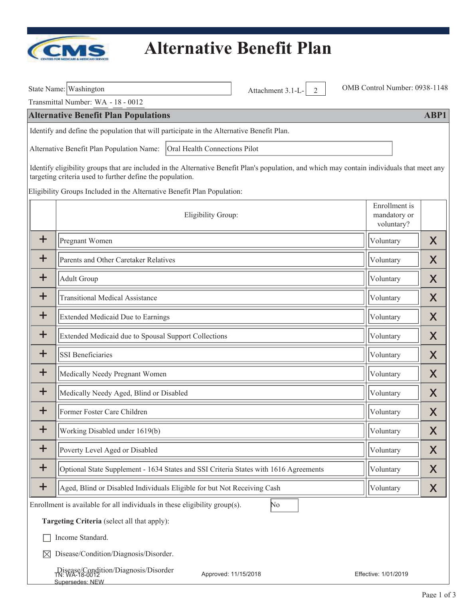

|             | State Name: Washington                                                                                                                                                                                   | Attachment 3.1-L-<br>$\overline{2}$ | OMB Control Number: 0938-1148               |      |
|-------------|----------------------------------------------------------------------------------------------------------------------------------------------------------------------------------------------------------|-------------------------------------|---------------------------------------------|------|
|             | Transmittal Number: WA - 18 - 0012                                                                                                                                                                       |                                     |                                             |      |
|             | <b>Alternative Benefit Plan Populations</b>                                                                                                                                                              |                                     |                                             | ABP1 |
|             | Identify and define the population that will participate in the Alternative Benefit Plan.                                                                                                                |                                     |                                             |      |
|             | Alternative Benefit Plan Population Name:<br>Oral Health Connections Pilot                                                                                                                               |                                     |                                             |      |
|             | Identify eligibility groups that are included in the Alternative Benefit Plan's population, and which may contain individuals that meet any<br>targeting criteria used to further define the population. |                                     |                                             |      |
|             | Eligibility Groups Included in the Alternative Benefit Plan Population:                                                                                                                                  |                                     |                                             |      |
|             | Eligibility Group:                                                                                                                                                                                       |                                     | Enrollment is<br>mandatory or<br>voluntary? |      |
| $\div$      | Pregnant Women                                                                                                                                                                                           |                                     | Voluntary                                   | X    |
| ╈           | Parents and Other Caretaker Relatives                                                                                                                                                                    |                                     | Voluntary                                   | X    |
| $\mathbf +$ | <b>Adult Group</b>                                                                                                                                                                                       |                                     | Voluntary                                   | X    |
| $\ddag$     | <b>Transitional Medical Assistance</b>                                                                                                                                                                   |                                     | Voluntary                                   | X    |
| $\bm{+}$    | <b>Extended Medicaid Due to Earnings</b>                                                                                                                                                                 |                                     | Voluntary                                   | X    |
| $\mathbf +$ | Extended Medicaid due to Spousal Support Collections                                                                                                                                                     |                                     | Voluntary                                   | X    |
| $\mathbf +$ | <b>SSI Beneficiaries</b>                                                                                                                                                                                 |                                     | Voluntary                                   | X    |
| $\mathbf +$ | Medically Needy Pregnant Women                                                                                                                                                                           |                                     | Voluntary                                   | X    |
| $\ddag$     | Medically Needy Aged, Blind or Disabled                                                                                                                                                                  |                                     | Voluntary                                   | X    |
| +           | Former Foster Care Children                                                                                                                                                                              |                                     | Voluntary                                   | Χ    |
| $\mathbf +$ | Working Disabled under 1619(b)                                                                                                                                                                           |                                     | Voluntary                                   | Χ    |
| $\mathbf +$ | Poverty Level Aged or Disabled                                                                                                                                                                           |                                     | Voluntary                                   | Χ    |
| $\mathbf +$ | Optional State Supplement - 1634 States and SSI Criteria States with 1616 Agreements                                                                                                                     |                                     | Voluntary                                   | Χ    |
| $\div$      | Aged, Blind or Disabled Individuals Eligible for but Not Receiving Cash                                                                                                                                  |                                     | Voluntary                                   | X    |
|             | Enrollment is available for all individuals in these eligibility group(s).                                                                                                                               | No                                  |                                             |      |
|             | Targeting Criteria (select all that apply):                                                                                                                                                              |                                     |                                             |      |
|             | Income Standard.                                                                                                                                                                                         |                                     |                                             |      |
| ⊠           | Disease/Condition/Diagnosis/Disorder.                                                                                                                                                                    |                                     |                                             |      |
|             | Disease/Condition/Diagnosis/Disorder<br>IN: WA-18-0012<br>Supersedes: NEW                                                                                                                                | Approved: 11/15/2018                | Effective: 1/01/2019                        |      |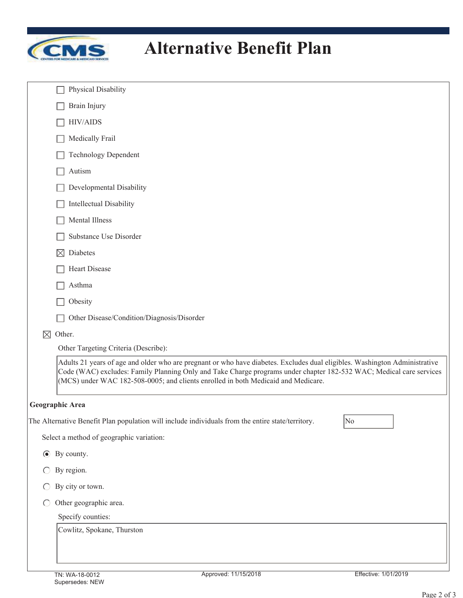

| Physical Disability                                                                                                                                                                                                                                                                                                                    |
|----------------------------------------------------------------------------------------------------------------------------------------------------------------------------------------------------------------------------------------------------------------------------------------------------------------------------------------|
| Brain Injury                                                                                                                                                                                                                                                                                                                           |
| <b>HIV/AIDS</b>                                                                                                                                                                                                                                                                                                                        |
| Medically Frail                                                                                                                                                                                                                                                                                                                        |
| <b>Technology Dependent</b>                                                                                                                                                                                                                                                                                                            |
| Autism                                                                                                                                                                                                                                                                                                                                 |
| Developmental Disability                                                                                                                                                                                                                                                                                                               |
| <b>Intellectual Disability</b>                                                                                                                                                                                                                                                                                                         |
| Mental Illness                                                                                                                                                                                                                                                                                                                         |
| Substance Use Disorder                                                                                                                                                                                                                                                                                                                 |
| Diabetes<br>$\boxtimes$                                                                                                                                                                                                                                                                                                                |
| <b>Heart Disease</b>                                                                                                                                                                                                                                                                                                                   |
| Asthma                                                                                                                                                                                                                                                                                                                                 |
| Obesity                                                                                                                                                                                                                                                                                                                                |
| Other Disease/Condition/Diagnosis/Disorder                                                                                                                                                                                                                                                                                             |
| $\boxtimes$<br>Other.                                                                                                                                                                                                                                                                                                                  |
| Other Targeting Criteria (Describe):                                                                                                                                                                                                                                                                                                   |
| Adults 21 years of age and older who are pregnant or who have diabetes. Excludes dual eligibles. Washington Administrative<br>Code (WAC) excludes: Family Planning Only and Take Charge programs under chapter 182-532 WAC; Medical care services<br>(MCS) under WAC 182-508-0005; and clients enrolled in both Medicaid and Medicare. |
| Geographic Area                                                                                                                                                                                                                                                                                                                        |
| The Alternative Benefit Plan population will include individuals from the entire state/territory.<br>No                                                                                                                                                                                                                                |
| Select a method of geographic variation:                                                                                                                                                                                                                                                                                               |
| $\odot$ By county.                                                                                                                                                                                                                                                                                                                     |
| By region.                                                                                                                                                                                                                                                                                                                             |
| By city or town.                                                                                                                                                                                                                                                                                                                       |
| Other geographic area.<br>$\bigcirc$                                                                                                                                                                                                                                                                                                   |
| Specify counties:                                                                                                                                                                                                                                                                                                                      |
| Cowlitz, Spokane, Thurston                                                                                                                                                                                                                                                                                                             |
|                                                                                                                                                                                                                                                                                                                                        |
|                                                                                                                                                                                                                                                                                                                                        |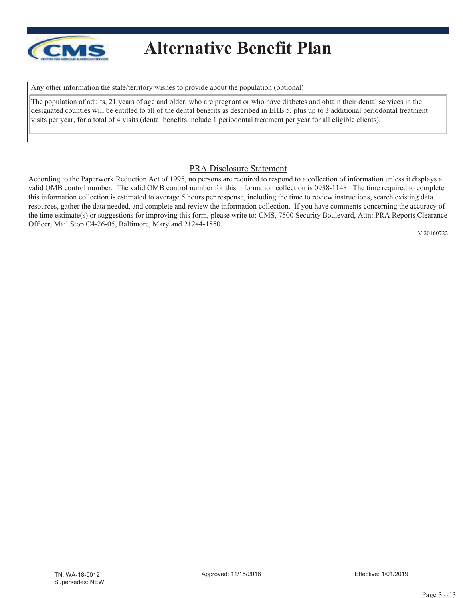

Any other information the state/territory wishes to provide about the population (optional)

The population of adults, 21 years of age and older, who are pregnant or who have diabetes and obtain their dental services in the designated counties will be entitled to all of the dental benefits as described in EHB 5, plus up to 3 additional periodontal treatment visits per year, for a total of 4 visits (dental benefits include 1 periodontal treatment per year for all eligible clients).

#### PRA Disclosure Statement

According to the Paperwork Reduction Act of 1995, no persons are required to respond to a collection of information unless it displays a valid OMB control number. The valid OMB control number for this information collection is 0938-1148. The time required to complete this information collection is estimated to average 5 hours per response, including the time to review instructions, search existing data resources, gather the data needed, and complete and review the information collection. If you have comments concerning the accuracy of the time estimate(s) or suggestions for improving this form, please write to: CMS, 7500 Security Boulevard, Attn: PRA Reports Clearance Officer, Mail Stop C4-26-05, Baltimore, Maryland 21244-1850.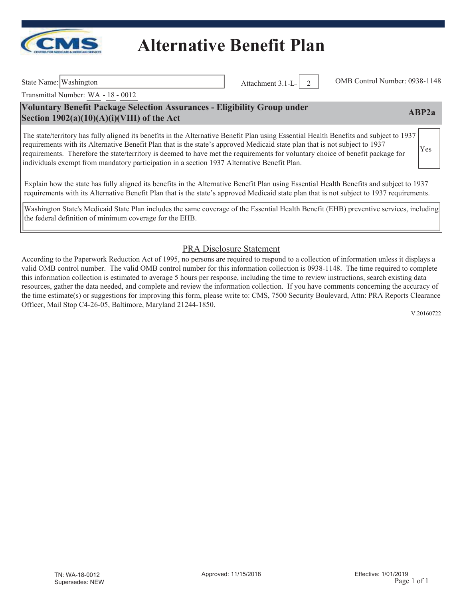

Transmittal Number: WA - 18 - 0012

### **Voluntary Benefit Package Selection Assurances - Eligibility Group under Section 1902(a)(10)(A)(i)(VIII) of the Act ABP2a**

The state/territory has fully aligned its benefits in the Alternative Benefit Plan using Essential Health Benefits and subject to 1937 requirements with its Alternative Benefit Plan that is the state's approved Medicaid state plan that is not subject to 1937 requirements. Therefore the state/territory is deemed to have met the requirements for voluntary choice of benefit package for individuals exempt from mandatory participation in a section 1937 Alternative Benefit Plan. Yes

Explain how the state has fully aligned its benefits in the Alternative Benefit Plan using Essential Health Benefits and subject to 1937 requirements with its Alternative Benefit Plan that is the state's approved Medicaid state plan that is not subject to 1937 requirements.

Washington State's Medicaid State Plan includes the same coverage of the Essential Health Benefit (EHB) preventive services, including the federal definition of minimum coverage for the EHB.

### PRA Disclosure Statement

According to the Paperwork Reduction Act of 1995, no persons are required to respond to a collection of information unless it displays a valid OMB control number. The valid OMB control number for this information collection is 0938-1148. The time required to complete this information collection is estimated to average 5 hours per response, including the time to review instructions, search existing data resources, gather the data needed, and complete and review the information collection. If you have comments concerning the accuracy of the time estimate(s) or suggestions for improving this form, please write to: CMS, 7500 Security Boulevard, Attn: PRA Reports Clearance Officer, Mail Stop C4-26-05, Baltimore, Maryland 21244-1850.

V.20160722

State Name: Washington Attachment 3.1-L- 2 OMB Control Number: 0938-1148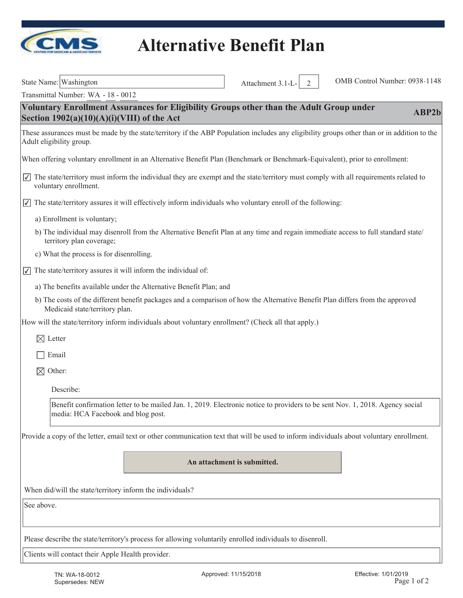

| State Name: Washington                                                                                                                                                         | Attachment 3.1-L-<br>2      | OMB Control Number: 0938-1148 |       |
|--------------------------------------------------------------------------------------------------------------------------------------------------------------------------------|-----------------------------|-------------------------------|-------|
| Transmittal Number: WA - 18 - 0012                                                                                                                                             |                             |                               |       |
| Voluntary Enrollment Assurances for Eligibility Groups other than the Adult Group under<br>Section $1902(a)(10)(A)(i)(VIII)$ of the Act                                        |                             |                               | ABP2b |
| These assurances must be made by the state/territory if the ABP Population includes any eligibility groups other than or in addition to the<br>Adult eligibility group.        |                             |                               |       |
| When offering voluntary enrollment in an Alternative Benefit Plan (Benchmark or Benchmark-Equivalent), prior to enrollment:                                                    |                             |                               |       |
| $\sqrt{\sqrt{ }}$ The state/territory must inform the individual they are exempt and the state/territory must comply with all requirements related to<br>voluntary enrollment. |                             |                               |       |
| $\sqrt{\ }$ The state/territory assures it will effectively inform individuals who voluntary enroll of the following:                                                          |                             |                               |       |
| a) Enrollment is voluntary;                                                                                                                                                    |                             |                               |       |
| b) The individual may disenroll from the Alternative Benefit Plan at any time and regain immediate access to full standard state/<br>territory plan coverage;                  |                             |                               |       |
| c) What the process is for disenrolling.                                                                                                                                       |                             |                               |       |
| The state/territory assures it will inform the individual of:<br>$\overline{\vee}$                                                                                             |                             |                               |       |
| a) The benefits available under the Alternative Benefit Plan; and                                                                                                              |                             |                               |       |
| b) The costs of the different benefit packages and a comparison of how the Alternative Benefit Plan differs from the approved<br>Medicaid state/territory plan.                |                             |                               |       |
| How will the state/territory inform individuals about voluntary enrollment? (Check all that apply.)                                                                            |                             |                               |       |
| $\boxtimes$ Letter                                                                                                                                                             |                             |                               |       |
| Email                                                                                                                                                                          |                             |                               |       |
| $\boxtimes$<br>Other:                                                                                                                                                          |                             |                               |       |
| Describe:                                                                                                                                                                      |                             |                               |       |
| Benefit confirmation letter to be mailed Jan. 1, 2019. Electronic notice to providers to be sent Nov. 1, 2018. Agency social<br>media: HCA Facebook and blog post.             |                             |                               |       |
| Provide a copy of the letter, email text or other communication text that will be used to inform individuals about voluntary enrollment.                                       |                             |                               |       |
|                                                                                                                                                                                | An attachment is submitted. |                               |       |
| When did/will the state/territory inform the individuals?                                                                                                                      |                             |                               |       |
| See above.                                                                                                                                                                     |                             |                               |       |
| Please describe the state/territory's process for allowing voluntarily enrolled individuals to disenroll.                                                                      |                             |                               |       |
| Clients will contact their Apple Health provider.                                                                                                                              |                             |                               |       |
|                                                                                                                                                                                |                             |                               |       |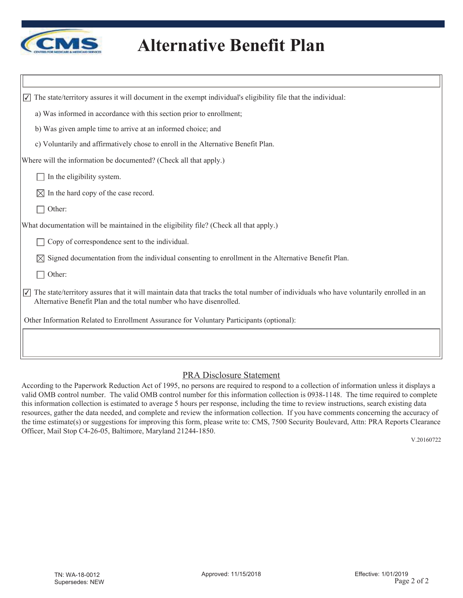

| The state/territory assures it will document in the exempt individual's eligibility file that the individual:<br>$\overline{\blacktriangledown}$                                                                                       |
|----------------------------------------------------------------------------------------------------------------------------------------------------------------------------------------------------------------------------------------|
| a) Was informed in accordance with this section prior to enrollment;                                                                                                                                                                   |
| b) Was given ample time to arrive at an informed choice; and                                                                                                                                                                           |
| c) Voluntarily and affirmatively chose to enroll in the Alternative Benefit Plan.                                                                                                                                                      |
| Where will the information be documented? (Check all that apply.)                                                                                                                                                                      |
| In the eligibility system.                                                                                                                                                                                                             |
| In the hard copy of the case record.<br>M                                                                                                                                                                                              |
| Other:                                                                                                                                                                                                                                 |
| What documentation will be maintained in the eligibility file? (Check all that apply.)                                                                                                                                                 |
| Copy of correspondence sent to the individual.                                                                                                                                                                                         |
| Signed documentation from the individual consenting to enrollment in the Alternative Benefit Plan.<br>$\bowtie$                                                                                                                        |
| Other:                                                                                                                                                                                                                                 |
| The state/territory assures that it will maintain data that tracks the total number of individuals who have voluntarily enrolled in an<br>$\overline{\sqrt{ }}$<br>Alternative Benefit Plan and the total number who have disenrolled. |
| Other Information Related to Enrollment Assurance for Voluntary Participants (optional):                                                                                                                                               |
|                                                                                                                                                                                                                                        |

#### PRA Disclosure Statement

According to the Paperwork Reduction Act of 1995, no persons are required to respond to a collection of information unless it displays a valid OMB control number. The valid OMB control number for this information collection is 0938-1148. The time required to complete this information collection is estimated to average 5 hours per response, including the time to review instructions, search existing data resources, gather the data needed, and complete and review the information collection. If you have comments concerning the accuracy of the time estimate(s) or suggestions for improving this form, please write to: CMS, 7500 Security Boulevard, Attn: PRA Reports Clearance Officer, Mail Stop C4-26-05, Baltimore, Maryland 21244-1850.

V.20160722

Π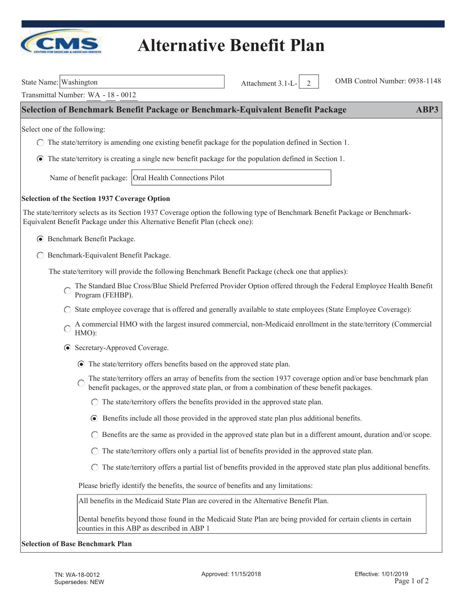

Attachment 3.1-L- 2 OMB Control Number: 0938-1148

| State Name: Washington |
|------------------------|
|                        |

Transmittal Number: WA - 18 - 0012

#### **Selection of Benchmark Benefit Package or Benchmark-Equivalent Benefit Package ABP3**

Select one of the following:

- $\bigcirc$  The state/territory is amending one existing benefit package for the population defined in Section 1.
- The state/territory is creating a single new benefit package for the population defined in Section 1.

Name of benefit package: Oral Health Connections Pilot

#### **Selection of the Section 1937 Coverage Option**

The state/territory selects as its Section 1937 Coverage option the following type of Benchmark Benefit Package or Benchmark-Equivalent Benefit Package under this Alternative Benefit Plan (check one):

- Benchmark Benefit Package.
- ◯ Benchmark-Equivalent Benefit Package.

The state/territory will provide the following Benchmark Benefit Package (check one that applies):

- The Standard Blue Cross/Blue Shield Preferred Provider Option offered through the Federal Employee Health Benefit Program (FEHBP).
- State employee coverage that is offered and generally available to state employees (State Employee Coverage):
- A commercial HMO with the largest insured commercial, non-Medicaid enrollment in the state/territory (Commercial HMO):
- Secretary-Approved Coverage.
	- The state/territory offers benefits based on the approved state plan.
	- The state/territory offers an array of benefits from the section 1937 coverage option and/or base benchmark plan  $\bigcirc$ benefit packages, or the approved state plan, or from a combination of these benefit packages.
		- $\bigcirc$  The state/territory offers the benefits provided in the approved state plan.
		- Benefits include all those provided in the approved state plan plus additional benefits.
		- $\bigcirc$  Benefits are the same as provided in the approved state plan but in a different amount, duration and/or scope.
		- $\bigcirc$  The state/territory offers only a partial list of benefits provided in the approved state plan.
		- $\bigcirc$  The state/territory offers a partial list of benefits provided in the approved state plan plus additional benefits.

Please briefly identify the benefits, the source of benefits and any limitations:

All benefits in the Medicaid State Plan are covered in the Alternative Benefit Plan.

Dental benefits beyond those found in the Medicaid State Plan are being provided for certain clients in certain counties in this ABP as described in ABP 1

#### **Selection of Base Benchmark Plan**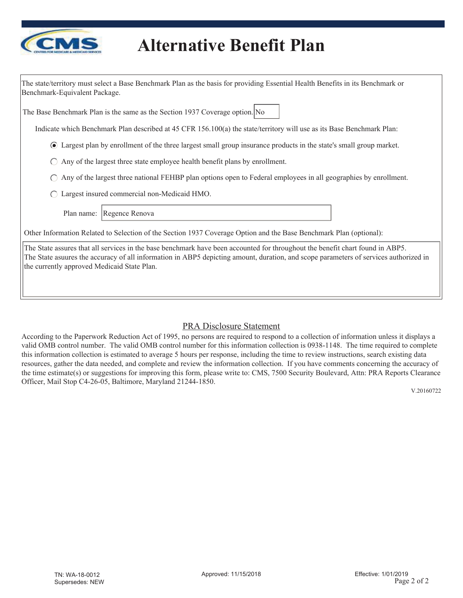

| The state/territory must select a Base Benchmark Plan as the basis for providing Essential Health Benefits in its Benchmark or<br>Benchmark-Equivalent Package.                                                                                                                                                      |
|----------------------------------------------------------------------------------------------------------------------------------------------------------------------------------------------------------------------------------------------------------------------------------------------------------------------|
| The Base Benchmark Plan is the same as the Section 1937 Coverage option. No                                                                                                                                                                                                                                          |
| Indicate which Benchmark Plan described at 45 CFR 156.100(a) the state/territory will use as its Base Benchmark Plan:                                                                                                                                                                                                |
| • Largest plan by enrollment of the three largest small group insurance products in the state's small group market.                                                                                                                                                                                                  |
| Any of the largest three state employee health benefit plans by enrollment.<br>$\left( \begin{array}{c} \end{array} \right)$                                                                                                                                                                                         |
| Any of the largest three national FEHBP plan options open to Federal employees in all geographies by enrollment.                                                                                                                                                                                                     |
| Largest insured commercial non-Medicaid HMO.                                                                                                                                                                                                                                                                         |
| Regence Renova<br>Plan name:                                                                                                                                                                                                                                                                                         |
| Other Information Related to Selection of the Section 1937 Coverage Option and the Base Benchmark Plan (optional):                                                                                                                                                                                                   |
| The State assures that all services in the base benchmark have been accounted for throughout the benefit chart found in ABP5.<br>The State asuures the accuracy of all information in ABP5 depicting amount, duration, and scope parameters of services authorized in<br>the currently approved Medicaid State Plan. |

### PRA Disclosure Statement

According to the Paperwork Reduction Act of 1995, no persons are required to respond to a collection of information unless it displays a valid OMB control number. The valid OMB control number for this information collection is 0938-1148. The time required to complete this information collection is estimated to average 5 hours per response, including the time to review instructions, search existing data resources, gather the data needed, and complete and review the information collection. If you have comments concerning the accuracy of the time estimate(s) or suggestions for improving this form, please write to: CMS, 7500 Security Boulevard, Attn: PRA Reports Clearance Officer, Mail Stop C4-26-05, Baltimore, Maryland 21244-1850.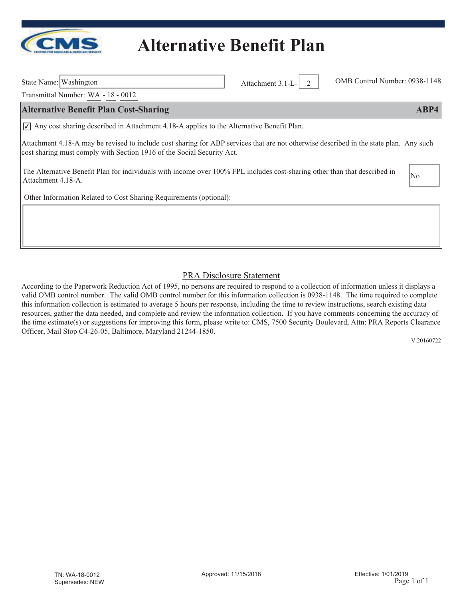

State Name: Washington Attachment 3.1-L- 2 OMB Control Number: 0938-1148

Transmittal Number: WA - 18 - 0012

#### **Alternative Benefit Plan Cost-Sharing ABP4**

 $\sqrt{\phantom{a}}$  Any cost sharing described in Attachment 4.18-A applies to the Alternative Benefit Plan.

Attachment 4.18-A may be revised to include cost sharing for ABP services that are not otherwise described in the state plan. Any such cost sharing must comply with Section 1916 of the Social Security Act.

The Alternative Benefit Plan for individuals with income over 100% FPL includes cost-sharing other than that described in Attachment 4.18-A.

Other Information Related to Cost Sharing Requirements (optional):

### PRA Disclosure Statement

According to the Paperwork Reduction Act of 1995, no persons are required to respond to a collection of information unless it displays a valid OMB control number. The valid OMB control number for this information collection is 0938-1148. The time required to complete this information collection is estimated to average 5 hours per response, including the time to review instructions, search existing data resources, gather the data needed, and complete and review the information collection. If you have comments concerning the accuracy of the time estimate(s) or suggestions for improving this form, please write to: CMS, 7500 Security Boulevard, Attn: PRA Reports Clearance Officer, Mail Stop C4-26-05, Baltimore, Maryland 21244-1850.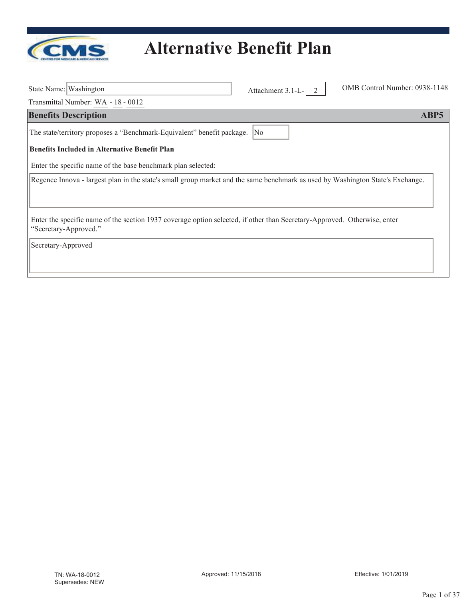

| State Name: Washington                                                                                                                            | Attachment 3.1-L- | OMB Control Number: 0938-1148 |
|---------------------------------------------------------------------------------------------------------------------------------------------------|-------------------|-------------------------------|
| Transmittal Number: WA - 18 - 0012                                                                                                                |                   |                               |
| <b>Benefits Description</b>                                                                                                                       |                   | ABP5                          |
| The state/territory proposes a "Benchmark-Equivalent" benefit package.                                                                            | No                |                               |
| <b>Benefits Included in Alternative Benefit Plan</b>                                                                                              |                   |                               |
| Enter the specific name of the base benchmark plan selected:                                                                                      |                   |                               |
| Regence Innova - largest plan in the state's small group market and the same benchmark as used by Washington State's Exchange.                    |                   |                               |
|                                                                                                                                                   |                   |                               |
| Enter the specific name of the section 1937 coverage option selected, if other than Secretary-Approved. Otherwise, enter<br>"Secretary-Approved." |                   |                               |
| Secretary-Approved                                                                                                                                |                   |                               |
|                                                                                                                                                   |                   |                               |
|                                                                                                                                                   |                   |                               |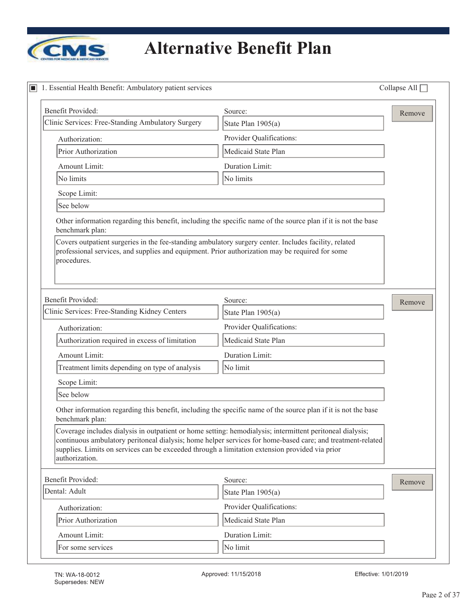

| 1. Essential Health Benefit: Ambulatory patient services                                                                                                                                                                      |                                                                                                                | Collapse All $\Box$ |
|-------------------------------------------------------------------------------------------------------------------------------------------------------------------------------------------------------------------------------|----------------------------------------------------------------------------------------------------------------|---------------------|
| Benefit Provided:                                                                                                                                                                                                             | Source:                                                                                                        | Remove              |
| Clinic Services: Free-Standing Ambulatory Surgery                                                                                                                                                                             | State Plan 1905(a)                                                                                             |                     |
| Authorization:                                                                                                                                                                                                                | Provider Qualifications:                                                                                       |                     |
| Prior Authorization                                                                                                                                                                                                           | Medicaid State Plan                                                                                            |                     |
| Amount Limit:                                                                                                                                                                                                                 | Duration Limit:                                                                                                |                     |
| No limits                                                                                                                                                                                                                     | No limits                                                                                                      |                     |
| Scope Limit:                                                                                                                                                                                                                  |                                                                                                                |                     |
| See below                                                                                                                                                                                                                     |                                                                                                                |                     |
| benchmark plan:<br>Covers outpatient surgeries in the fee-standing ambulatory surgery center. Includes facility, related                                                                                                      | Other information regarding this benefit, including the specific name of the source plan if it is not the base |                     |
| professional services, and supplies and equipment. Prior authorization may be required for some<br>procedures.                                                                                                                |                                                                                                                |                     |
| Benefit Provided:                                                                                                                                                                                                             | Source:                                                                                                        | Remove              |
| Clinic Services: Free-Standing Kidney Centers                                                                                                                                                                                 | State Plan 1905(a)                                                                                             |                     |
| Authorization:                                                                                                                                                                                                                | Provider Qualifications:                                                                                       |                     |
| Authorization required in excess of limitation                                                                                                                                                                                | Medicaid State Plan                                                                                            |                     |
| Amount Limit:                                                                                                                                                                                                                 | Duration Limit:                                                                                                |                     |
| Treatment limits depending on type of analysis                                                                                                                                                                                | No limit                                                                                                       |                     |
| Scope Limit:                                                                                                                                                                                                                  |                                                                                                                |                     |
| See below                                                                                                                                                                                                                     |                                                                                                                |                     |
| benchmark plan:                                                                                                                                                                                                               | Other information regarding this benefit, including the specific name of the source plan if it is not the base |                     |
| Coverage includes dialysis in outpatient or home setting: hemodialysis; intermittent peritoneal dialysis;<br>supplies. Limits on services can be exceeded through a limitation extension provided via prior<br>authorization. | continuous ambulatory peritoneal dialysis; home helper services for home-based care; and treatment-related     |                     |
| Benefit Provided:                                                                                                                                                                                                             | Source:                                                                                                        | Remove              |
| Dental: Adult                                                                                                                                                                                                                 | State Plan 1905(a)                                                                                             |                     |
| Authorization:                                                                                                                                                                                                                | Provider Qualifications:                                                                                       |                     |
| Prior Authorization                                                                                                                                                                                                           | Medicaid State Plan                                                                                            |                     |
| Amount Limit:                                                                                                                                                                                                                 | Duration Limit:                                                                                                |                     |
| For some services                                                                                                                                                                                                             | No limit                                                                                                       |                     |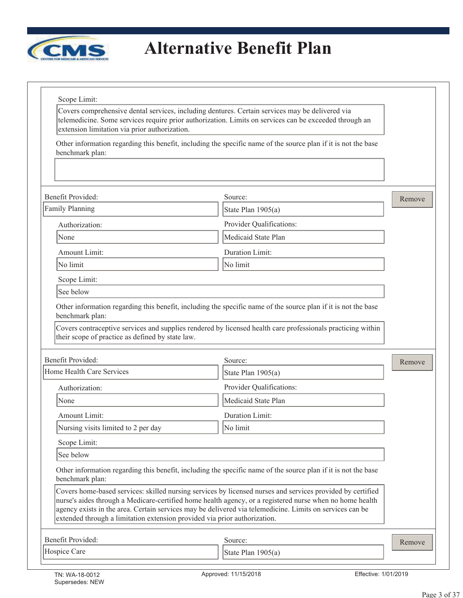

| extension limitation via prior authorization.                                | Covers comprehensive dental services, including dentures. Certain services may be delivered via<br>telemedicine. Some services require prior authorization. Limits on services can be exceeded through an                                                                                                                          |        |
|------------------------------------------------------------------------------|------------------------------------------------------------------------------------------------------------------------------------------------------------------------------------------------------------------------------------------------------------------------------------------------------------------------------------|--------|
| benchmark plan:                                                              | Other information regarding this benefit, including the specific name of the source plan if it is not the base                                                                                                                                                                                                                     |        |
|                                                                              |                                                                                                                                                                                                                                                                                                                                    |        |
| <b>Benefit Provided:</b>                                                     | Source:                                                                                                                                                                                                                                                                                                                            | Remove |
| <b>Family Planning</b>                                                       | State Plan $1905(a)$                                                                                                                                                                                                                                                                                                               |        |
| Authorization:                                                               | Provider Qualifications:                                                                                                                                                                                                                                                                                                           |        |
| None                                                                         | Medicaid State Plan                                                                                                                                                                                                                                                                                                                |        |
| Amount Limit:                                                                | Duration Limit:                                                                                                                                                                                                                                                                                                                    |        |
| No limit                                                                     | No limit                                                                                                                                                                                                                                                                                                                           |        |
| Scope Limit:                                                                 |                                                                                                                                                                                                                                                                                                                                    |        |
| See below                                                                    |                                                                                                                                                                                                                                                                                                                                    |        |
| benchmark plan:                                                              | Other information regarding this benefit, including the specific name of the source plan if it is not the base<br>Covers contraceptive services and supplies rendered by licensed health care professionals practicing within                                                                                                      |        |
| their scope of practice as defined by state law.<br><b>Benefit Provided:</b> | Source:                                                                                                                                                                                                                                                                                                                            |        |
| Home Health Care Services                                                    | State Plan 1905(a)                                                                                                                                                                                                                                                                                                                 | Remove |
| Authorization:                                                               | Provider Qualifications:                                                                                                                                                                                                                                                                                                           |        |
| None                                                                         | Medicaid State Plan                                                                                                                                                                                                                                                                                                                |        |
| Amount Limit:                                                                | Duration Limit:                                                                                                                                                                                                                                                                                                                    |        |
| Nursing visits limited to 2 per day                                          | No limit                                                                                                                                                                                                                                                                                                                           |        |
| Scope Limit:                                                                 |                                                                                                                                                                                                                                                                                                                                    |        |
| See below                                                                    |                                                                                                                                                                                                                                                                                                                                    |        |
| benchmark plan:                                                              | Other information regarding this benefit, including the specific name of the source plan if it is not the base                                                                                                                                                                                                                     |        |
| extended through a limitation extension provided via prior authorization.    | Covers home-based services: skilled nursing services by licensed nurses and services provided by certified<br>nurse's aides through a Medicare-certified home health agency, or a registered nurse when no home health<br>agency exists in the area. Certain services may be delivered via telemedicine. Limits on services can be |        |
| Benefit Provided:                                                            | Source:                                                                                                                                                                                                                                                                                                                            | Remove |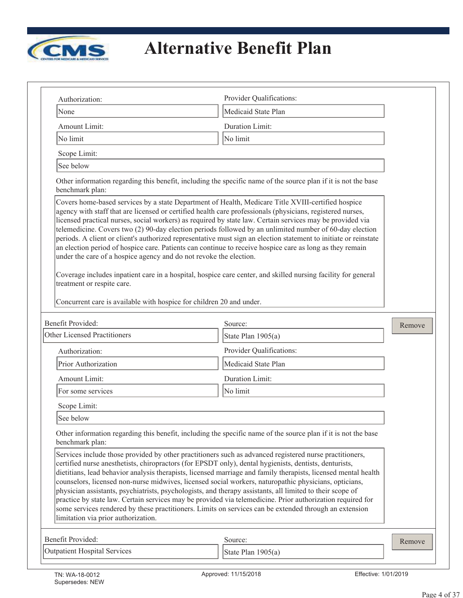

| Authorization:                                                                                                                                                                                                                                                                                                                                                                                                                                                                                                                                                                                                        | Provider Qualifications:                                                                                                                                                                                                                                                                                                                     |        |
|-----------------------------------------------------------------------------------------------------------------------------------------------------------------------------------------------------------------------------------------------------------------------------------------------------------------------------------------------------------------------------------------------------------------------------------------------------------------------------------------------------------------------------------------------------------------------------------------------------------------------|----------------------------------------------------------------------------------------------------------------------------------------------------------------------------------------------------------------------------------------------------------------------------------------------------------------------------------------------|--------|
| None                                                                                                                                                                                                                                                                                                                                                                                                                                                                                                                                                                                                                  | Medicaid State Plan                                                                                                                                                                                                                                                                                                                          |        |
| Amount Limit:                                                                                                                                                                                                                                                                                                                                                                                                                                                                                                                                                                                                         | Duration Limit:                                                                                                                                                                                                                                                                                                                              |        |
| No limit                                                                                                                                                                                                                                                                                                                                                                                                                                                                                                                                                                                                              | No limit                                                                                                                                                                                                                                                                                                                                     |        |
| Scope Limit:                                                                                                                                                                                                                                                                                                                                                                                                                                                                                                                                                                                                          |                                                                                                                                                                                                                                                                                                                                              |        |
| See below                                                                                                                                                                                                                                                                                                                                                                                                                                                                                                                                                                                                             |                                                                                                                                                                                                                                                                                                                                              |        |
| benchmark plan:                                                                                                                                                                                                                                                                                                                                                                                                                                                                                                                                                                                                       | Other information regarding this benefit, including the specific name of the source plan if it is not the base                                                                                                                                                                                                                               |        |
| Covers home-based services by a state Department of Health, Medicare Title XVIII-certified hospice<br>agency with staff that are licensed or certified health care professionals (physicians, registered nurses,<br>licensed practical nurses, social workers) as required by state law. Certain services may be provided via<br>an election period of hospice care. Patients can continue to receive hospice care as long as they remain<br>under the care of a hospice agency and do not revoke the election.<br>treatment or respite care.<br>Concurrent care is available with hospice for children 20 and under. | telemedicine. Covers two (2) 90-day election periods followed by an unlimited number of 60-day election<br>periods. A client or client's authorized representative must sign an election statement to initiate or reinstate<br>Coverage includes inpatient care in a hospital, hospice care center, and skilled nursing facility for general |        |
| Benefit Provided:                                                                                                                                                                                                                                                                                                                                                                                                                                                                                                                                                                                                     | Source:                                                                                                                                                                                                                                                                                                                                      | Remove |
| <b>Other Licensed Practitioners</b>                                                                                                                                                                                                                                                                                                                                                                                                                                                                                                                                                                                   | State Plan 1905(a)                                                                                                                                                                                                                                                                                                                           |        |
| Authorization:                                                                                                                                                                                                                                                                                                                                                                                                                                                                                                                                                                                                        | Provider Qualifications:                                                                                                                                                                                                                                                                                                                     |        |
| Prior Authorization                                                                                                                                                                                                                                                                                                                                                                                                                                                                                                                                                                                                   | Medicaid State Plan                                                                                                                                                                                                                                                                                                                          |        |
| Amount Limit:                                                                                                                                                                                                                                                                                                                                                                                                                                                                                                                                                                                                         |                                                                                                                                                                                                                                                                                                                                              |        |
|                                                                                                                                                                                                                                                                                                                                                                                                                                                                                                                                                                                                                       | Duration Limit:                                                                                                                                                                                                                                                                                                                              |        |
| For some services                                                                                                                                                                                                                                                                                                                                                                                                                                                                                                                                                                                                     | No limit                                                                                                                                                                                                                                                                                                                                     |        |
| Scope Limit:                                                                                                                                                                                                                                                                                                                                                                                                                                                                                                                                                                                                          |                                                                                                                                                                                                                                                                                                                                              |        |
| See below                                                                                                                                                                                                                                                                                                                                                                                                                                                                                                                                                                                                             |                                                                                                                                                                                                                                                                                                                                              |        |
| benchmark plan:                                                                                                                                                                                                                                                                                                                                                                                                                                                                                                                                                                                                       | Other information regarding this benefit, including the specific name of the source plan if it is not the base                                                                                                                                                                                                                               |        |
| Services include those provided by other practitioners such as advanced registered nurse practitioners,<br>certified nurse anesthetists, chiropractors (for EPSDT only), dental hygienists, dentists, denturists,<br>counselors, licensed non-nurse midwives, licensed social workers, naturopathic physicians, opticians,<br>physician assistants, psychiatrists, psychologists, and therapy assistants, all limited to their scope of<br>some services rendered by these practitioners. Limits on services can be extended through an extension<br>limitation via prior authorization.                              | dietitians, lead behavior analysis therapists, licensed marriage and family therapists, licensed mental health<br>practice by state law. Certain services may be provided via telemedicine. Prior authorization required for                                                                                                                 |        |
| Benefit Provided:                                                                                                                                                                                                                                                                                                                                                                                                                                                                                                                                                                                                     | Source:                                                                                                                                                                                                                                                                                                                                      | Remove |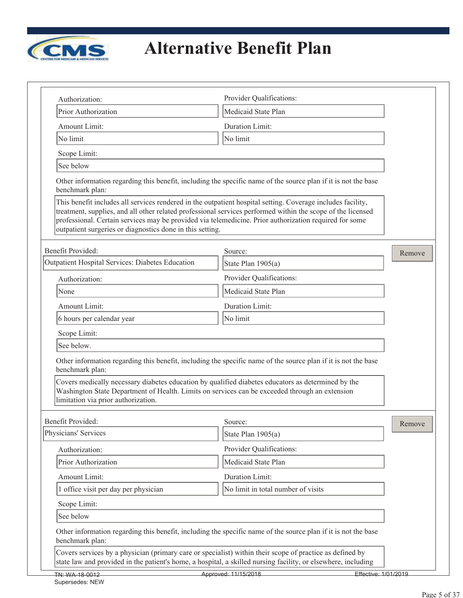

Supersedes: NEW

| Authorization:                                                                                                                                                                                                                                                 | Provider Qualifications:                                                                                                                                                                                                                                                                                                             |        |
|----------------------------------------------------------------------------------------------------------------------------------------------------------------------------------------------------------------------------------------------------------------|--------------------------------------------------------------------------------------------------------------------------------------------------------------------------------------------------------------------------------------------------------------------------------------------------------------------------------------|--------|
| Prior Authorization                                                                                                                                                                                                                                            | Medicaid State Plan                                                                                                                                                                                                                                                                                                                  |        |
| Amount Limit:                                                                                                                                                                                                                                                  | <b>Duration Limit:</b>                                                                                                                                                                                                                                                                                                               |        |
| No limit                                                                                                                                                                                                                                                       | No limit                                                                                                                                                                                                                                                                                                                             |        |
| Scope Limit:                                                                                                                                                                                                                                                   |                                                                                                                                                                                                                                                                                                                                      |        |
| See below                                                                                                                                                                                                                                                      |                                                                                                                                                                                                                                                                                                                                      |        |
| benchmark plan:                                                                                                                                                                                                                                                | Other information regarding this benefit, including the specific name of the source plan if it is not the base                                                                                                                                                                                                                       |        |
| outpatient surgeries or diagnostics done in this setting.                                                                                                                                                                                                      | This benefit includes all services rendered in the outpatient hospital setting. Coverage includes facility,<br>treatment, supplies, and all other related professional services performed within the scope of the licensed<br>professional. Certain services may be provided via telemedicine. Prior authorization required for some |        |
| Benefit Provided:                                                                                                                                                                                                                                              | Source:                                                                                                                                                                                                                                                                                                                              | Remove |
| Outpatient Hospital Services: Diabetes Education                                                                                                                                                                                                               | State Plan $1905(a)$                                                                                                                                                                                                                                                                                                                 |        |
| Authorization:                                                                                                                                                                                                                                                 | Provider Qualifications:                                                                                                                                                                                                                                                                                                             |        |
| None                                                                                                                                                                                                                                                           | Medicaid State Plan                                                                                                                                                                                                                                                                                                                  |        |
| Amount Limit:                                                                                                                                                                                                                                                  | Duration Limit:                                                                                                                                                                                                                                                                                                                      |        |
| 6 hours per calendar year                                                                                                                                                                                                                                      | No limit                                                                                                                                                                                                                                                                                                                             |        |
| Scope Limit:                                                                                                                                                                                                                                                   |                                                                                                                                                                                                                                                                                                                                      |        |
| See below.                                                                                                                                                                                                                                                     |                                                                                                                                                                                                                                                                                                                                      |        |
| benchmark plan:<br>Covers medically necessary diabetes education by qualified diabetes educators as determined by the<br>Washington State Department of Health. Limits on services can be exceeded through an extension<br>limitation via prior authorization. | Other information regarding this benefit, including the specific name of the source plan if it is not the base                                                                                                                                                                                                                       |        |
| Benefit Provided:                                                                                                                                                                                                                                              | Source:                                                                                                                                                                                                                                                                                                                              |        |
| Physicians' Services                                                                                                                                                                                                                                           | State Plan 1905(a)                                                                                                                                                                                                                                                                                                                   | Remove |
| Authorization:                                                                                                                                                                                                                                                 | Provider Qualifications:                                                                                                                                                                                                                                                                                                             |        |
| Prior Authorization                                                                                                                                                                                                                                            | Medicaid State Plan                                                                                                                                                                                                                                                                                                                  |        |
| Amount Limit:                                                                                                                                                                                                                                                  | Duration Limit:                                                                                                                                                                                                                                                                                                                      |        |
| 1 office visit per day per physician                                                                                                                                                                                                                           | No limit in total number of visits                                                                                                                                                                                                                                                                                                   |        |
| Scope Limit:                                                                                                                                                                                                                                                   |                                                                                                                                                                                                                                                                                                                                      |        |
| See below                                                                                                                                                                                                                                                      |                                                                                                                                                                                                                                                                                                                                      |        |
| benchmark plan:                                                                                                                                                                                                                                                | Other information regarding this benefit, including the specific name of the source plan if it is not the base                                                                                                                                                                                                                       |        |
|                                                                                                                                                                                                                                                                | Covers services by a physician (primary care or specialist) within their scope of practice as defined by<br>state law and provided in the patient's home, a hospital, a skilled nursing facility, or elsewhere, including                                                                                                            |        |
| TN: WA-18-0012                                                                                                                                                                                                                                                 | Approved: 11/15/2018<br>Effective: 1/01/2019                                                                                                                                                                                                                                                                                         |        |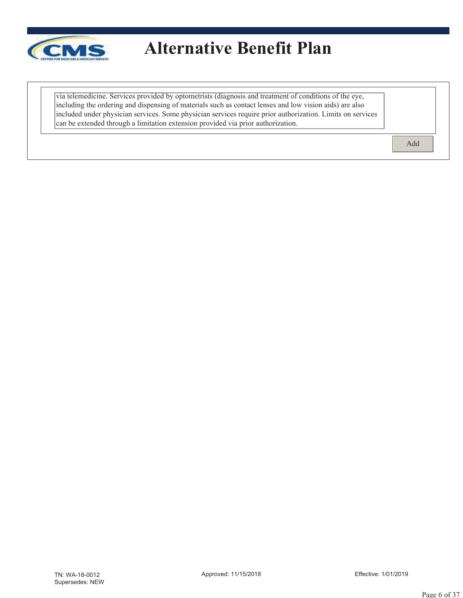

| via telemedicine. Services provided by optometrists (diagnosis and treatment of conditions of the eye,     |
|------------------------------------------------------------------------------------------------------------|
| including the ordering and dispensing of materials such as contact lenses and low vision aids) are also    |
| included under physician services. Some physician services require prior authorization. Limits on services |
| can be extended through a limitation extension provided via prior authorization.                           |

Add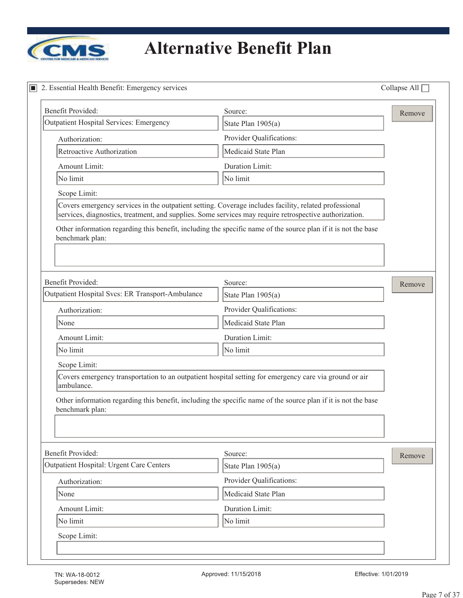

| 2. Essential Health Benefit: Emergency services  |                                                                                                                                                                                                                 | Collapse All $\square$ |
|--------------------------------------------------|-----------------------------------------------------------------------------------------------------------------------------------------------------------------------------------------------------------------|------------------------|
| Benefit Provided:                                | Source:                                                                                                                                                                                                         | Remove                 |
| <b>Outpatient Hospital Services: Emergency</b>   | State Plan 1905(a)                                                                                                                                                                                              |                        |
| Authorization:                                   | Provider Qualifications:                                                                                                                                                                                        |                        |
| Retroactive Authorization                        | Medicaid State Plan                                                                                                                                                                                             |                        |
| Amount Limit:                                    | <b>Duration Limit:</b>                                                                                                                                                                                          |                        |
| No limit                                         | No limit                                                                                                                                                                                                        |                        |
| Scope Limit:                                     |                                                                                                                                                                                                                 |                        |
|                                                  | Covers emergency services in the outpatient setting. Coverage includes facility, related professional<br>services, diagnostics, treatment, and supplies. Some services may require retrospective authorization. |                        |
| benchmark plan:                                  | Other information regarding this benefit, including the specific name of the source plan if it is not the base                                                                                                  |                        |
| Benefit Provided:                                | Source:                                                                                                                                                                                                         | Remove                 |
| Outpatient Hospital Svcs: ER Transport-Ambulance | State Plan 1905(a)                                                                                                                                                                                              |                        |
| Authorization:                                   | Provider Qualifications:                                                                                                                                                                                        |                        |
| None                                             | Medicaid State Plan                                                                                                                                                                                             |                        |
| Amount Limit:                                    | Duration Limit:                                                                                                                                                                                                 |                        |
| No limit                                         | No limit                                                                                                                                                                                                        |                        |
| Scope Limit:                                     |                                                                                                                                                                                                                 |                        |
| ambulance.                                       | Covers emergency transportation to an outpatient hospital setting for emergency care via ground or air                                                                                                          |                        |
| benchmark plan:                                  | Other information regarding this benefit, including the specific name of the source plan if it is not the base                                                                                                  |                        |
| Benefit Provided:                                | Source:                                                                                                                                                                                                         | Remove                 |
| Outpatient Hospital: Urgent Care Centers         | State Plan 1905(a)                                                                                                                                                                                              |                        |
| Authorization:                                   | Provider Qualifications:                                                                                                                                                                                        |                        |
| None                                             | Medicaid State Plan                                                                                                                                                                                             |                        |
| Amount Limit:                                    | Duration Limit:                                                                                                                                                                                                 |                        |
| No limit                                         | No limit                                                                                                                                                                                                        |                        |
|                                                  |                                                                                                                                                                                                                 |                        |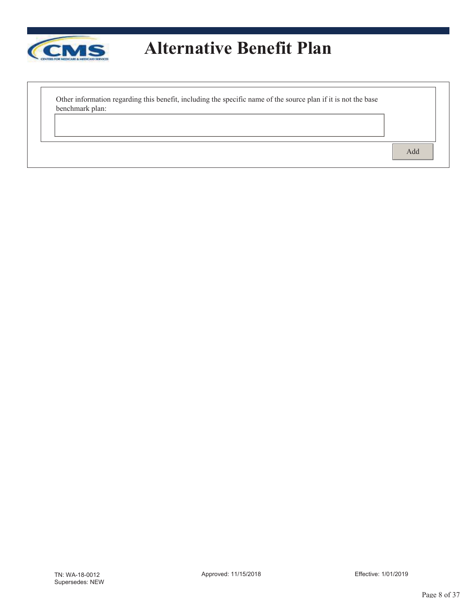

Other information regarding this benefit, including the specific name of the source plan if it is not the base benchmark plan:

Add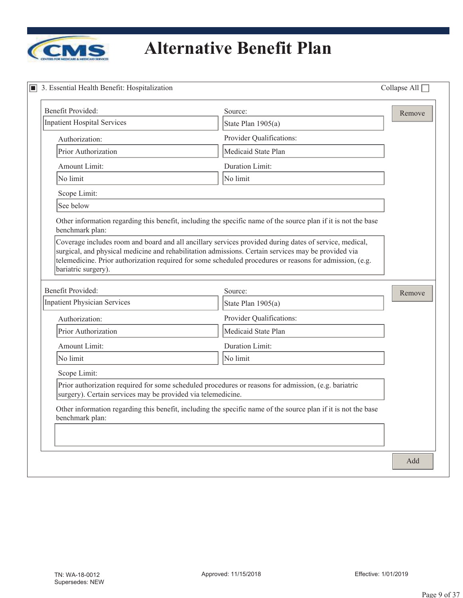

# **<u>***Alternative Benefit Plan*</u>

| Benefit Provided:                                                           | Source:                                                                                                        | Remove |
|-----------------------------------------------------------------------------|----------------------------------------------------------------------------------------------------------------|--------|
| Inpatient Hospital Services                                                 | State Plan 1905(a)                                                                                             |        |
| Authorization:                                                              | Provider Qualifications:                                                                                       |        |
| Prior Authorization                                                         | Medicaid State Plan                                                                                            |        |
| Amount Limit:                                                               | Duration Limit:                                                                                                |        |
| No limit                                                                    | No limit                                                                                                       |        |
| Scope Limit:                                                                |                                                                                                                |        |
| See below                                                                   |                                                                                                                |        |
| benchmark plan:                                                             | Other information regarding this benefit, including the specific name of the source plan if it is not the base |        |
|                                                                             | surgical, and physical medicine and rehabilitation admissions. Certain services may be provided via            |        |
| bariatric surgery).                                                         | telemedicine. Prior authorization required for some scheduled procedures or reasons for admission, (e.g.       |        |
|                                                                             | Source:                                                                                                        | Remove |
|                                                                             | State Plan $1905(a)$                                                                                           |        |
| Authorization:                                                              | Provider Qualifications:                                                                                       |        |
| Prior Authorization                                                         | Medicaid State Plan                                                                                            |        |
| Amount Limit:                                                               | Duration Limit:                                                                                                |        |
| <b>Benefit Provided:</b><br><b>Inpatient Physician Services</b><br>No limit | No limit                                                                                                       |        |
| Scope Limit:                                                                |                                                                                                                |        |
| surgery). Certain services may be provided via telemedicine.                | Prior authorization required for some scheduled procedures or reasons for admission, (e.g. bariatric           |        |
| benchmark plan:                                                             | Other information regarding this benefit, including the specific name of the source plan if it is not the base |        |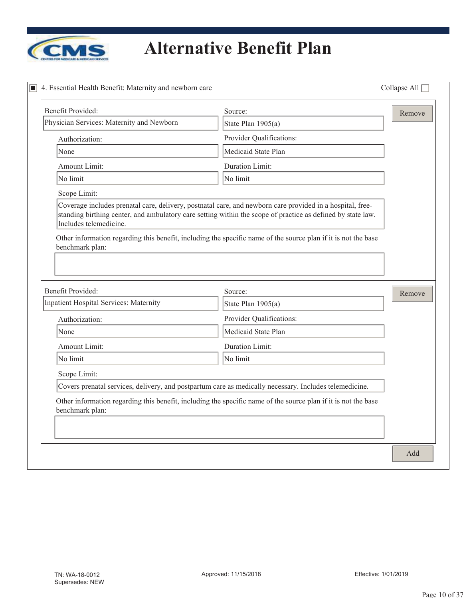

| <b>Benefit Provided:</b>                                           | Source:                                                                                                        | Remove |
|--------------------------------------------------------------------|----------------------------------------------------------------------------------------------------------------|--------|
| Physician Services: Maternity and Newborn                          | State Plan 1905(a)                                                                                             |        |
| Authorization:                                                     | Provider Qualifications:                                                                                       |        |
| None                                                               | Medicaid State Plan                                                                                            |        |
| Amount Limit:                                                      | <b>Duration Limit:</b>                                                                                         |        |
| No limit                                                           | No limit                                                                                                       |        |
| Scope Limit:                                                       |                                                                                                                |        |
| Includes telemedicine.                                             | standing birthing center, and ambulatory care setting within the scope of practice as defined by state law.    |        |
|                                                                    | Other information regarding this benefit, including the specific name of the source plan if it is not the base |        |
| benchmark plan:                                                    |                                                                                                                |        |
|                                                                    |                                                                                                                |        |
|                                                                    |                                                                                                                |        |
|                                                                    | Source:                                                                                                        | Remove |
|                                                                    | State Plan 1905(a)                                                                                             |        |
| Authorization:                                                     | Provider Qualifications:                                                                                       |        |
| None                                                               | Medicaid State Plan                                                                                            |        |
| Amount Limit:                                                      | Duration Limit:                                                                                                |        |
| No limit                                                           | No limit                                                                                                       |        |
| Scope Limit:                                                       |                                                                                                                |        |
| <b>Benefit Provided:</b><br>Inpatient Hospital Services: Maternity | Covers prenatal services, delivery, and postpartum care as medically necessary. Includes telemedicine.         |        |
| benchmark plan:                                                    | Other information regarding this benefit, including the specific name of the source plan if it is not the base |        |
|                                                                    |                                                                                                                |        |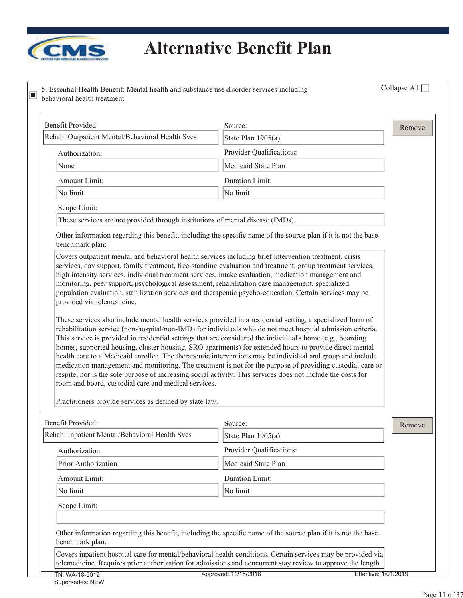

| behavioral health treatment                                                                                                                                                           |                                                                                                                                                                                                                                                                                                                                                                                                                                                                                                                                                                                                                                                                                                                                                                                                                                                                                                        |                      |
|---------------------------------------------------------------------------------------------------------------------------------------------------------------------------------------|--------------------------------------------------------------------------------------------------------------------------------------------------------------------------------------------------------------------------------------------------------------------------------------------------------------------------------------------------------------------------------------------------------------------------------------------------------------------------------------------------------------------------------------------------------------------------------------------------------------------------------------------------------------------------------------------------------------------------------------------------------------------------------------------------------------------------------------------------------------------------------------------------------|----------------------|
| Benefit Provided:                                                                                                                                                                     | Source:                                                                                                                                                                                                                                                                                                                                                                                                                                                                                                                                                                                                                                                                                                                                                                                                                                                                                                | Remove               |
| Rehab: Outpatient Mental/Behavioral Health Svcs                                                                                                                                       | State Plan 1905(a)                                                                                                                                                                                                                                                                                                                                                                                                                                                                                                                                                                                                                                                                                                                                                                                                                                                                                     |                      |
| Authorization:                                                                                                                                                                        | Provider Qualifications:                                                                                                                                                                                                                                                                                                                                                                                                                                                                                                                                                                                                                                                                                                                                                                                                                                                                               |                      |
| None                                                                                                                                                                                  | Medicaid State Plan                                                                                                                                                                                                                                                                                                                                                                                                                                                                                                                                                                                                                                                                                                                                                                                                                                                                                    |                      |
| Amount Limit:                                                                                                                                                                         | Duration Limit:                                                                                                                                                                                                                                                                                                                                                                                                                                                                                                                                                                                                                                                                                                                                                                                                                                                                                        |                      |
| No limit                                                                                                                                                                              | No limit                                                                                                                                                                                                                                                                                                                                                                                                                                                                                                                                                                                                                                                                                                                                                                                                                                                                                               |                      |
| Scope Limit:                                                                                                                                                                          |                                                                                                                                                                                                                                                                                                                                                                                                                                                                                                                                                                                                                                                                                                                                                                                                                                                                                                        |                      |
| These services are not provided through institutions of mental disease (IMDs).                                                                                                        |                                                                                                                                                                                                                                                                                                                                                                                                                                                                                                                                                                                                                                                                                                                                                                                                                                                                                                        |                      |
| benchmark plan:                                                                                                                                                                       | Other information regarding this benefit, including the specific name of the source plan if it is not the base                                                                                                                                                                                                                                                                                                                                                                                                                                                                                                                                                                                                                                                                                                                                                                                         |                      |
| monitoring, peer support, psychological assessment, rehabilitation case management, specialized<br>provided via telemedicine.<br>room and board, custodial care and medical services. | population evaluation, stabilization services and therapeutic psycho-education. Certain services may be<br>These services also include mental health services provided in a residential setting, a specialized form of<br>rehabilitation service (non-hospital/non-IMD) for individuals who do not meet hospital admission criteria.<br>This service is provided in residential settings that are considered the individual's home (e.g., boarding<br>homes, supported housing, cluster housing, SRO apartments) for extended hours to provide direct mental<br>health care to a Medicaid enrollee. The therapeutic interventions may be individual and group and include<br>medication management and monitoring. The treatment is not for the purpose of providing custodial care or<br>respite, nor is the sole purpose of increasing social activity. This services does not include the costs for |                      |
| Practitioners provide services as defined by state law.                                                                                                                               |                                                                                                                                                                                                                                                                                                                                                                                                                                                                                                                                                                                                                                                                                                                                                                                                                                                                                                        |                      |
| Benefit Provided:                                                                                                                                                                     | Source:                                                                                                                                                                                                                                                                                                                                                                                                                                                                                                                                                                                                                                                                                                                                                                                                                                                                                                | Remove               |
| Rehab: Inpatient Mental/Behavioral Health Svcs                                                                                                                                        | State Plan 1905(a)                                                                                                                                                                                                                                                                                                                                                                                                                                                                                                                                                                                                                                                                                                                                                                                                                                                                                     |                      |
| Authorization:                                                                                                                                                                        | Provider Qualifications:                                                                                                                                                                                                                                                                                                                                                                                                                                                                                                                                                                                                                                                                                                                                                                                                                                                                               |                      |
| Prior Authorization                                                                                                                                                                   | Medicaid State Plan                                                                                                                                                                                                                                                                                                                                                                                                                                                                                                                                                                                                                                                                                                                                                                                                                                                                                    |                      |
| Amount Limit:                                                                                                                                                                         | Duration Limit:                                                                                                                                                                                                                                                                                                                                                                                                                                                                                                                                                                                                                                                                                                                                                                                                                                                                                        |                      |
| No limit                                                                                                                                                                              | No limit                                                                                                                                                                                                                                                                                                                                                                                                                                                                                                                                                                                                                                                                                                                                                                                                                                                                                               |                      |
| Scope Limit:                                                                                                                                                                          |                                                                                                                                                                                                                                                                                                                                                                                                                                                                                                                                                                                                                                                                                                                                                                                                                                                                                                        |                      |
|                                                                                                                                                                                       |                                                                                                                                                                                                                                                                                                                                                                                                                                                                                                                                                                                                                                                                                                                                                                                                                                                                                                        |                      |
| benchmark plan:                                                                                                                                                                       | Other information regarding this benefit, including the specific name of the source plan if it is not the base                                                                                                                                                                                                                                                                                                                                                                                                                                                                                                                                                                                                                                                                                                                                                                                         |                      |
|                                                                                                                                                                                       | Covers inpatient hospital care for mental/behavioral health conditions. Certain services may be provided via<br>telemedicine. Requires prior authorization for admissions and concurrent stay review to approve the length                                                                                                                                                                                                                                                                                                                                                                                                                                                                                                                                                                                                                                                                             |                      |
| TN: WA-18-0012                                                                                                                                                                        | Approved: 11/15/2018                                                                                                                                                                                                                                                                                                                                                                                                                                                                                                                                                                                                                                                                                                                                                                                                                                                                                   | Effective: 1/01/2019 |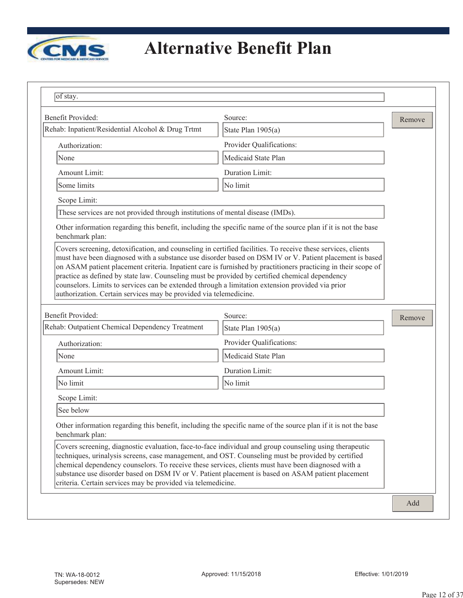

| Benefit Provided:                                                                                                                                                                                                                                                                                                                                                                       | Source:                                                                                                                                                                                                                  | Remove |
|-----------------------------------------------------------------------------------------------------------------------------------------------------------------------------------------------------------------------------------------------------------------------------------------------------------------------------------------------------------------------------------------|--------------------------------------------------------------------------------------------------------------------------------------------------------------------------------------------------------------------------|--------|
| Rehab: Inpatient/Residential Alcohol & Drug Trtmt                                                                                                                                                                                                                                                                                                                                       | State Plan 1905(a)                                                                                                                                                                                                       |        |
| Authorization:                                                                                                                                                                                                                                                                                                                                                                          | Provider Qualifications:                                                                                                                                                                                                 |        |
| None                                                                                                                                                                                                                                                                                                                                                                                    | Medicaid State Plan                                                                                                                                                                                                      |        |
| Amount Limit:                                                                                                                                                                                                                                                                                                                                                                           | Duration Limit:                                                                                                                                                                                                          |        |
| Some limits                                                                                                                                                                                                                                                                                                                                                                             | No limit                                                                                                                                                                                                                 |        |
| Scope Limit:                                                                                                                                                                                                                                                                                                                                                                            |                                                                                                                                                                                                                          |        |
| These services are not provided through institutions of mental disease (IMDs).                                                                                                                                                                                                                                                                                                          |                                                                                                                                                                                                                          |        |
| benchmark plan:                                                                                                                                                                                                                                                                                                                                                                         | Other information regarding this benefit, including the specific name of the source plan if it is not the base                                                                                                           |        |
| Covers screening, detoxification, and counseling in certified facilities. To receive these services, clients<br>practice as defined by state law. Counseling must be provided by certified chemical dependency<br>counselors. Limits to services can be extended through a limitation extension provided via prior<br>authorization. Certain services may be provided via telemedicine. | must have been diagnosed with a substance use disorder based on DSM IV or V. Patient placement is based<br>on ASAM patient placement criteria. Inpatient care is furnished by practitioners practicing in their scope of |        |
|                                                                                                                                                                                                                                                                                                                                                                                         |                                                                                                                                                                                                                          |        |
| Benefit Provided:                                                                                                                                                                                                                                                                                                                                                                       | Source:                                                                                                                                                                                                                  | Remove |
| Rehab: Outpatient Chemical Dependency Treatment                                                                                                                                                                                                                                                                                                                                         | State Plan 1905(a)                                                                                                                                                                                                       |        |
| Authorization:                                                                                                                                                                                                                                                                                                                                                                          | Provider Qualifications:                                                                                                                                                                                                 |        |
| None                                                                                                                                                                                                                                                                                                                                                                                    | Medicaid State Plan                                                                                                                                                                                                      |        |
| Amount Limit:                                                                                                                                                                                                                                                                                                                                                                           | Duration Limit:                                                                                                                                                                                                          |        |
| No limit                                                                                                                                                                                                                                                                                                                                                                                | No limit                                                                                                                                                                                                                 |        |
| Scope Limit:                                                                                                                                                                                                                                                                                                                                                                            |                                                                                                                                                                                                                          |        |
| See below                                                                                                                                                                                                                                                                                                                                                                               |                                                                                                                                                                                                                          |        |
| benchmark plan:                                                                                                                                                                                                                                                                                                                                                                         | Other information regarding this benefit, including the specific name of the source plan if it is not the base                                                                                                           |        |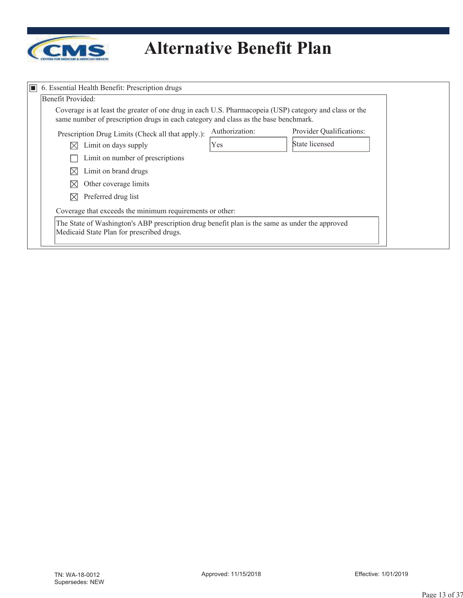

| $\Box$ 6. Essential Health Benefit: Prescription drugs<br>Benefit Provided:                                                                                                                   |                |                          |
|-----------------------------------------------------------------------------------------------------------------------------------------------------------------------------------------------|----------------|--------------------------|
| Coverage is at least the greater of one drug in each U.S. Pharmacopeia (USP) category and class or the<br>same number of prescription drugs in each category and class as the base benchmark. |                |                          |
| Prescription Drug Limits (Check all that apply.):                                                                                                                                             | Authorization: | Provider Qualifications: |
| Limit on days supply<br>IX                                                                                                                                                                    | Yes            | State licensed           |
| Limit on number of prescriptions                                                                                                                                                              |                |                          |
| Limit on brand drugs<br>IX                                                                                                                                                                    |                |                          |
| Other coverage limits<br>IX                                                                                                                                                                   |                |                          |
| Preferred drug list<br>IX                                                                                                                                                                     |                |                          |
| Coverage that exceeds the minimum requirements or other:                                                                                                                                      |                |                          |
| The State of Washington's ABP prescription drug benefit plan is the same as under the approved<br>Medicaid State Plan for prescribed drugs.                                                   |                |                          |
|                                                                                                                                                                                               |                |                          |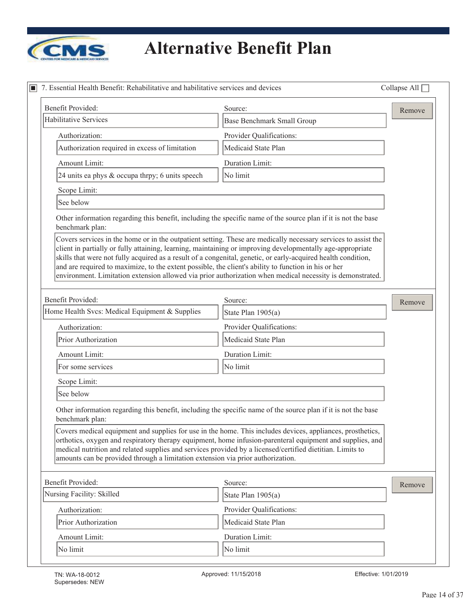

| Benefit Provided:                                                                                                                                                                                                                                                                                                                   | Source:                                                                                                                                                                                                                     | Remove |
|-------------------------------------------------------------------------------------------------------------------------------------------------------------------------------------------------------------------------------------------------------------------------------------------------------------------------------------|-----------------------------------------------------------------------------------------------------------------------------------------------------------------------------------------------------------------------------|--------|
| <b>Habilitative Services</b>                                                                                                                                                                                                                                                                                                        | <b>Base Benchmark Small Group</b>                                                                                                                                                                                           |        |
| Authorization:                                                                                                                                                                                                                                                                                                                      | Provider Qualifications:                                                                                                                                                                                                    |        |
| Authorization required in excess of limitation                                                                                                                                                                                                                                                                                      | Medicaid State Plan                                                                                                                                                                                                         |        |
| Amount Limit:                                                                                                                                                                                                                                                                                                                       | Duration Limit:                                                                                                                                                                                                             |        |
| 24 units ea phys & occupa thrpy; 6 units speech                                                                                                                                                                                                                                                                                     | No limit                                                                                                                                                                                                                    |        |
| Scope Limit:                                                                                                                                                                                                                                                                                                                        |                                                                                                                                                                                                                             |        |
| See below                                                                                                                                                                                                                                                                                                                           |                                                                                                                                                                                                                             |        |
| Other information regarding this benefit, including the specific name of the source plan if it is not the base<br>benchmark plan:                                                                                                                                                                                                   |                                                                                                                                                                                                                             |        |
| client in partially or fully attaining, learning, maintaining or improving developmentally age-appropriate<br>skills that were not fully acquired as a result of a congenital, genetic, or early-acquired health condition,<br>and are required to maximize, to the extent possible, the client's ability to function in his or her | Covers services in the home or in the outpatient setting. These are medically necessary services to assist the<br>environment. Limitation extension allowed via prior authorization when medical necessity is demonstrated. |        |
| <b>Benefit Provided:</b>                                                                                                                                                                                                                                                                                                            | Source:                                                                                                                                                                                                                     | Remove |
| Home Health Svcs: Medical Equipment & Supplies                                                                                                                                                                                                                                                                                      | State Plan 1905(a)                                                                                                                                                                                                          |        |
| Authorization:                                                                                                                                                                                                                                                                                                                      | Provider Qualifications:                                                                                                                                                                                                    |        |
| Prior Authorization                                                                                                                                                                                                                                                                                                                 | Medicaid State Plan                                                                                                                                                                                                         |        |
| Amount Limit:                                                                                                                                                                                                                                                                                                                       | Duration Limit:                                                                                                                                                                                                             |        |
| For some services                                                                                                                                                                                                                                                                                                                   | No limit                                                                                                                                                                                                                    |        |
| Scope Limit:                                                                                                                                                                                                                                                                                                                        |                                                                                                                                                                                                                             |        |
| See below                                                                                                                                                                                                                                                                                                                           |                                                                                                                                                                                                                             |        |
| Other information regarding this benefit, including the specific name of the source plan if it is not the base<br>benchmark plan:                                                                                                                                                                                                   |                                                                                                                                                                                                                             |        |
| medical nutrition and related supplies and services provided by a licensed/certified dietitian. Limits to<br>amounts can be provided through a limitation extension via prior authorization.                                                                                                                                        | Covers medical equipment and supplies for use in the home. This includes devices, appliances, prosthetics,<br>orthotics, oxygen and respiratory therapy equipment, home infusion-parenteral equipment and supplies, and     |        |
| Benefit Provided:                                                                                                                                                                                                                                                                                                                   | Source:                                                                                                                                                                                                                     | Remove |
| Nursing Facility: Skilled                                                                                                                                                                                                                                                                                                           | State Plan 1905(a)                                                                                                                                                                                                          |        |
| Authorization:                                                                                                                                                                                                                                                                                                                      | Provider Qualifications:                                                                                                                                                                                                    |        |
| Prior Authorization                                                                                                                                                                                                                                                                                                                 | Medicaid State Plan                                                                                                                                                                                                         |        |
| Amount Limit:                                                                                                                                                                                                                                                                                                                       | Duration Limit:                                                                                                                                                                                                             |        |
|                                                                                                                                                                                                                                                                                                                                     |                                                                                                                                                                                                                             |        |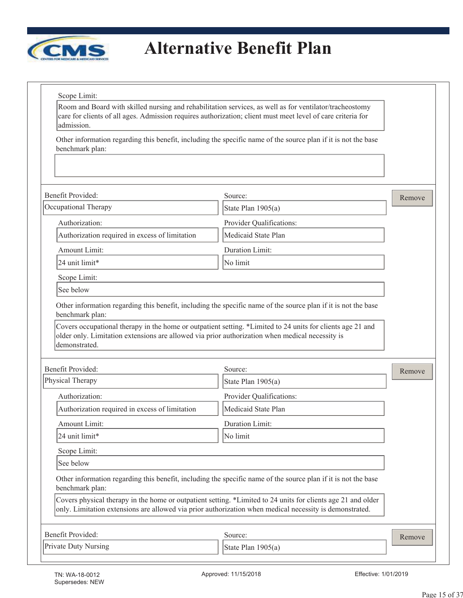

Room and Board with skilled nursing and rehabilitation services, as well as for ventilator/tracheostomy care for clients of all ages. Admission requires authorization; client must meet level of care criteria for admission.

Other information regarding this benefit, including the specific name of the source plan if it is not the base benchmark plan:

| Benefit Provided:                                                                                                | Source:                                                                                                                                                                                                                 | Remove |
|------------------------------------------------------------------------------------------------------------------|-------------------------------------------------------------------------------------------------------------------------------------------------------------------------------------------------------------------------|--------|
| Occupational Therapy                                                                                             | State Plan 1905(a)                                                                                                                                                                                                      |        |
| Authorization:                                                                                                   | Provider Qualifications:                                                                                                                                                                                                |        |
| Authorization required in excess of limitation                                                                   | Medicaid State Plan                                                                                                                                                                                                     |        |
| Amount Limit:                                                                                                    | Duration Limit:                                                                                                                                                                                                         |        |
| 24 unit limit*                                                                                                   | No limit                                                                                                                                                                                                                |        |
| Scope Limit:                                                                                                     |                                                                                                                                                                                                                         |        |
| See below                                                                                                        |                                                                                                                                                                                                                         |        |
| benchmark plan:                                                                                                  | Other information regarding this benefit, including the specific name of the source plan if it is not the base                                                                                                          |        |
| older only. Limitation extensions are allowed via prior authorization when medical necessity is<br>demonstrated. | Covers occupational therapy in the home or outpatient setting. *Limited to 24 units for clients age 21 and                                                                                                              |        |
| Benefit Provided:                                                                                                | Source:                                                                                                                                                                                                                 | Remove |
| Physical Therapy                                                                                                 | State Plan 1905(a)                                                                                                                                                                                                      |        |
| Authorization:                                                                                                   | Provider Qualifications:                                                                                                                                                                                                |        |
| Authorization required in excess of limitation                                                                   | Medicaid State Plan                                                                                                                                                                                                     |        |
| Amount Limit:                                                                                                    | <b>Duration Limit:</b>                                                                                                                                                                                                  |        |
| 24 unit limit*                                                                                                   | No limit                                                                                                                                                                                                                |        |
| Scope Limit:                                                                                                     |                                                                                                                                                                                                                         |        |
| See below                                                                                                        |                                                                                                                                                                                                                         |        |
|                                                                                                                  |                                                                                                                                                                                                                         |        |
| benchmark plan:                                                                                                  | Other information regarding this benefit, including the specific name of the source plan if it is not the base                                                                                                          |        |
|                                                                                                                  | Covers physical therapy in the home or outpatient setting. *Limited to 24 units for clients age 21 and older<br>only. Limitation extensions are allowed via prior authorization when medical necessity is demonstrated. |        |
| Benefit Provided:                                                                                                | Source:                                                                                                                                                                                                                 | Remove |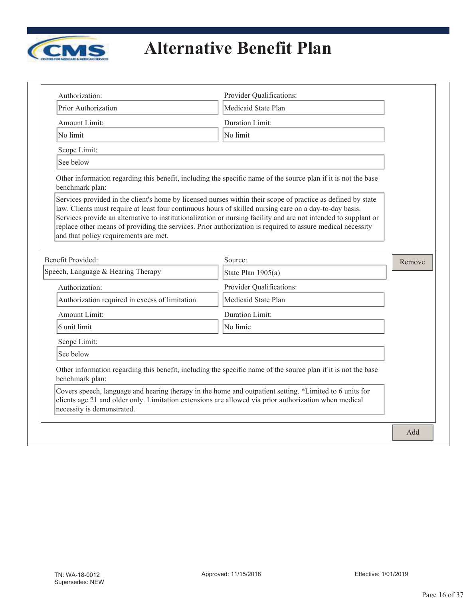

| Authorization:                                                                                                                                   | Provider Qualifications:                                                                                                                                                                                                                                                                                                                      |        |
|--------------------------------------------------------------------------------------------------------------------------------------------------|-----------------------------------------------------------------------------------------------------------------------------------------------------------------------------------------------------------------------------------------------------------------------------------------------------------------------------------------------|--------|
| Prior Authorization                                                                                                                              | Medicaid State Plan                                                                                                                                                                                                                                                                                                                           |        |
| Amount Limit:                                                                                                                                    | Duration Limit:                                                                                                                                                                                                                                                                                                                               |        |
| No limit                                                                                                                                         | No limit                                                                                                                                                                                                                                                                                                                                      |        |
| Scope Limit:                                                                                                                                     |                                                                                                                                                                                                                                                                                                                                               |        |
| See below                                                                                                                                        |                                                                                                                                                                                                                                                                                                                                               |        |
| benchmark plan:                                                                                                                                  | Other information regarding this benefit, including the specific name of the source plan if it is not the base                                                                                                                                                                                                                                |        |
| law. Clients must require at least four continuous hours of skilled nursing care on a day-to-day basis.<br>and that policy requirements are met. | Services provided in the client's home by licensed nurses within their scope of practice as defined by state<br>Services provide an alternative to institutionalization or nursing facility and are not intended to supplant or<br>replace other means of providing the services. Prior authorization is required to assure medical necessity |        |
| <b>Benefit Provided:</b>                                                                                                                         | Source:                                                                                                                                                                                                                                                                                                                                       | Remove |
| Speech, Language & Hearing Therapy                                                                                                               | State Plan 1905(a)                                                                                                                                                                                                                                                                                                                            |        |
| Authorization:                                                                                                                                   | Provider Qualifications:                                                                                                                                                                                                                                                                                                                      |        |
| Authorization required in excess of limitation                                                                                                   | Medicaid State Plan                                                                                                                                                                                                                                                                                                                           |        |
| Amount Limit:                                                                                                                                    | Duration Limit:                                                                                                                                                                                                                                                                                                                               |        |
| 6 unit limit                                                                                                                                     | No limie                                                                                                                                                                                                                                                                                                                                      |        |
| Scope Limit:                                                                                                                                     |                                                                                                                                                                                                                                                                                                                                               |        |
| See below                                                                                                                                        |                                                                                                                                                                                                                                                                                                                                               |        |
| benchmark plan:                                                                                                                                  | Other information regarding this benefit, including the specific name of the source plan if it is not the base                                                                                                                                                                                                                                |        |
| clients age 21 and older only. Limitation extensions are allowed via prior authorization when medical<br>necessity is demonstrated.              | Covers speech, language and hearing therapy in the home and outpatient setting. *Limited to 6 units for                                                                                                                                                                                                                                       |        |
|                                                                                                                                                  |                                                                                                                                                                                                                                                                                                                                               | Add    |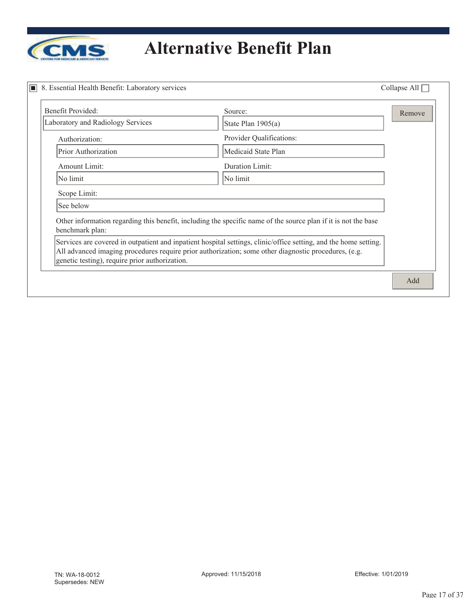

| Benefit Provided:                              | Source:                                                                                                                                                                                                                  | Remove |
|------------------------------------------------|--------------------------------------------------------------------------------------------------------------------------------------------------------------------------------------------------------------------------|--------|
| Laboratory and Radiology Services              | State Plan 1905(a)                                                                                                                                                                                                       |        |
| Authorization:                                 | Provider Qualifications:                                                                                                                                                                                                 |        |
| Prior Authorization                            | Medicaid State Plan                                                                                                                                                                                                      |        |
| Amount Limit:                                  | Duration Limit:                                                                                                                                                                                                          |        |
| No limit                                       | No limit                                                                                                                                                                                                                 |        |
| Scope Limit:                                   |                                                                                                                                                                                                                          |        |
| See below                                      |                                                                                                                                                                                                                          |        |
| benchmark plan:                                | Other information regarding this benefit, including the specific name of the source plan if it is not the base                                                                                                           |        |
| genetic testing), require prior authorization. | Services are covered in outpatient and inpatient hospital settings, clinic/office setting, and the home setting.<br>All advanced imaging procedures require prior authorization; some other diagnostic procedures, (e.g. |        |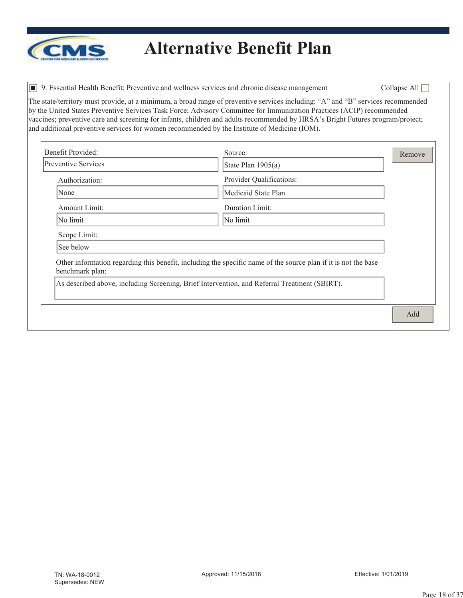

 $\Box$  9. Essential Health Benefit: Preventive and wellness services and chronic disease management Collapse All  $\Box$ 

The state/territory must provide, at a minimum, a broad range of preventive services including: "A" and "B" services recommended by the United States Preventive Services Task Force; Advisory Committee for Immunization Practices (ACIP) recommended vaccines; preventive care and screening for infants, children and adults recommended by HRSA's Bright Futures program/project; and additional preventive services for women recommended by the Institute of Medicine (IOM).

| Benefit Provided:                                                                                                                 | Source:                  | Remove |
|-----------------------------------------------------------------------------------------------------------------------------------|--------------------------|--------|
| <b>Preventive Services</b>                                                                                                        | State Plan 1905(a)       |        |
| Authorization:                                                                                                                    | Provider Qualifications: |        |
| None                                                                                                                              | Medicaid State Plan      |        |
| Amount Limit:                                                                                                                     | Duration Limit:          |        |
| No limit                                                                                                                          | No limit                 |        |
| Scope Limit:                                                                                                                      |                          |        |
| See below                                                                                                                         |                          |        |
| Other information regarding this benefit, including the specific name of the source plan if it is not the base<br>benchmark plan: |                          |        |
| As described above, including Screening, Brief Intervention, and Referral Treatment (SBIRT).                                      |                          |        |
|                                                                                                                                   |                          | Add    |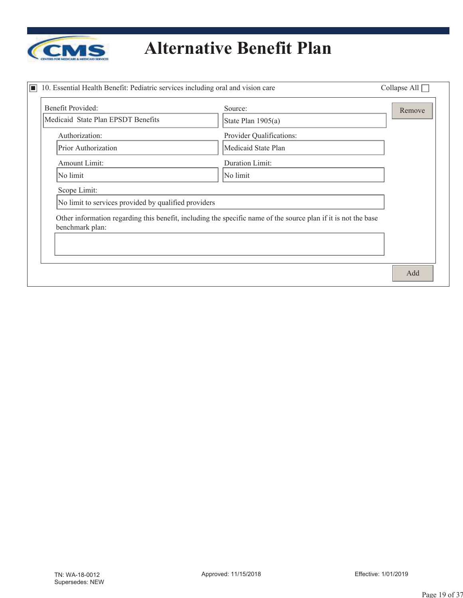

| Benefit Provided:                                    | Source:                                                                                                        | Remove |
|------------------------------------------------------|----------------------------------------------------------------------------------------------------------------|--------|
| Medicaid State Plan EPSDT Benefits                   | State Plan 1905(a)                                                                                             |        |
| Authorization:                                       | Provider Qualifications:                                                                                       |        |
| Prior Authorization                                  | Medicaid State Plan                                                                                            |        |
| Amount Limit:                                        | Duration Limit:                                                                                                |        |
| No limit                                             | No limit                                                                                                       |        |
| Scope Limit:                                         |                                                                                                                |        |
| No limit to services provided by qualified providers |                                                                                                                |        |
| benchmark plan:                                      | Other information regarding this benefit, including the specific name of the source plan if it is not the base |        |
|                                                      |                                                                                                                |        |
|                                                      |                                                                                                                |        |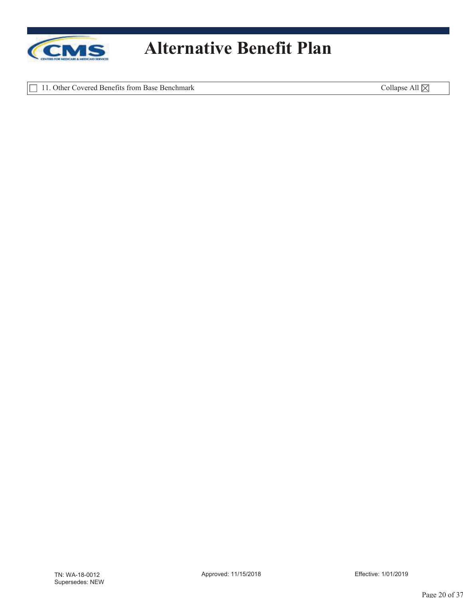

11. Other Covered Benefits from Base Benchmark Collapse All  $\times$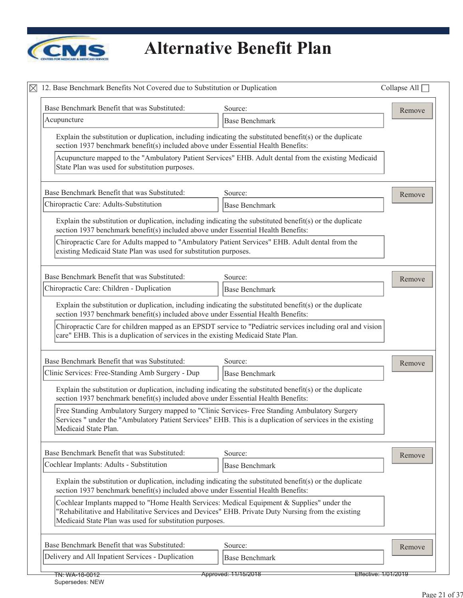

| 12. Base Benchmark Benefits Not Covered due to Substitution or Duplication                                                                            |                                                                                                                                                                                                            | Collapse All $\Box$ |
|-------------------------------------------------------------------------------------------------------------------------------------------------------|------------------------------------------------------------------------------------------------------------------------------------------------------------------------------------------------------------|---------------------|
| Base Benchmark Benefit that was Substituted:                                                                                                          | Source:                                                                                                                                                                                                    | Remove              |
| Acupuncture                                                                                                                                           | <b>Base Benchmark</b>                                                                                                                                                                                      |                     |
| section 1937 benchmark benefit(s) included above under Essential Health Benefits:                                                                     | Explain the substitution or duplication, including indicating the substituted benefit(s) or the duplicate                                                                                                  |                     |
| State Plan was used for substitution purposes.                                                                                                        | Acupuncture mapped to the "Ambulatory Patient Services" EHB. Adult dental from the existing Medicaid                                                                                                       |                     |
| Base Benchmark Benefit that was Substituted:                                                                                                          | Source:                                                                                                                                                                                                    | Remove              |
| Chiropractic Care: Adults-Substitution                                                                                                                | <b>Base Benchmark</b>                                                                                                                                                                                      |                     |
| section 1937 benchmark benefit(s) included above under Essential Health Benefits:                                                                     | Explain the substitution or duplication, including indicating the substituted benefit(s) or the duplicate                                                                                                  |                     |
| existing Medicaid State Plan was used for substitution purposes.                                                                                      | Chiropractic Care for Adults mapped to "Ambulatory Patient Services" EHB. Adult dental from the                                                                                                            |                     |
| Base Benchmark Benefit that was Substituted:                                                                                                          | Source:                                                                                                                                                                                                    | Remove              |
| Chiropractic Care: Children - Duplication                                                                                                             | <b>Base Benchmark</b>                                                                                                                                                                                      |                     |
| section 1937 benchmark benefit(s) included above under Essential Health Benefits:                                                                     | Explain the substitution or duplication, including indicating the substituted benefit(s) or the duplicate                                                                                                  |                     |
| care" EHB. This is a duplication of services in the existing Medicaid State Plan.                                                                     | Chiropractic Care for children mapped as an EPSDT service to "Pediatric services including oral and vision                                                                                                 |                     |
|                                                                                                                                                       |                                                                                                                                                                                                            |                     |
| Base Benchmark Benefit that was Substituted:                                                                                                          | Source:                                                                                                                                                                                                    | Remove              |
| Clinic Services: Free-Standing Amb Surgery - Dup                                                                                                      | <b>Base Benchmark</b>                                                                                                                                                                                      |                     |
| section 1937 benchmark benefit(s) included above under Essential Health Benefits:                                                                     | Explain the substitution or duplication, including indicating the substituted benefit(s) or the duplicate                                                                                                  |                     |
| Medicaid State Plan.                                                                                                                                  | Free Standing Ambulatory Surgery mapped to "Clinic Services- Free Standing Ambulatory Surgery<br>Services " under the "Ambulatory Patient Services" EHB. This is a duplication of services in the existing |                     |
| Base Benchmark Benefit that was Substituted:                                                                                                          | Source:                                                                                                                                                                                                    |                     |
| Cochlear Implants: Adults - Substitution                                                                                                              | <b>Base Benchmark</b>                                                                                                                                                                                      | Remove              |
| section 1937 benchmark benefit(s) included above under Essential Health Benefits:                                                                     | Explain the substitution or duplication, including indicating the substituted benefit(s) or the duplicate                                                                                                  |                     |
| Cochlear Implants mapped to "Home Health Services: Medical Equipment & Supplies" under the<br>Medicaid State Plan was used for substitution purposes. | "Rehabilitative and Habilitative Services and Devices" EHB. Private Duty Nursing from the existing                                                                                                         |                     |
| Base Benchmark Benefit that was Substituted:                                                                                                          | Source:                                                                                                                                                                                                    | Remove              |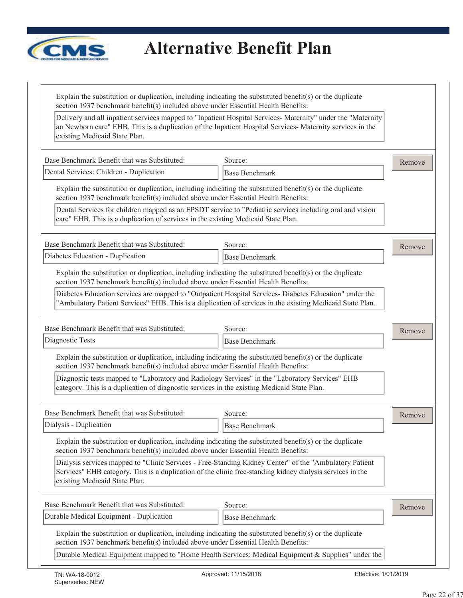

| existing Medicaid State Plan.                                                               | Delivery and all inpatient services mapped to "Inpatient Hospital Services- Maternity" under the "Maternity<br>an Newborn care" EHB. This is a duplication of the Inpatient Hospital Services-Maternity services in the |        |
|---------------------------------------------------------------------------------------------|-------------------------------------------------------------------------------------------------------------------------------------------------------------------------------------------------------------------------|--------|
| Base Benchmark Benefit that was Substituted:                                                | Source:                                                                                                                                                                                                                 | Remove |
| Dental Services: Children - Duplication                                                     | <b>Base Benchmark</b>                                                                                                                                                                                                   |        |
| section 1937 benchmark benefit(s) included above under Essential Health Benefits:           | Explain the substitution or duplication, including indicating the substituted benefit(s) or the duplicate                                                                                                               |        |
| care" EHB. This is a duplication of services in the existing Medicaid State Plan.           | Dental Services for children mapped as an EPSDT service to "Pediatric services including oral and vision                                                                                                                |        |
| Base Benchmark Benefit that was Substituted:                                                | Source:                                                                                                                                                                                                                 | Remove |
| Diabetes Education - Duplication                                                            | <b>Base Benchmark</b>                                                                                                                                                                                                   |        |
| section 1937 benchmark benefit(s) included above under Essential Health Benefits:           | Explain the substitution or duplication, including indicating the substituted benefit(s) or the duplicate                                                                                                               |        |
|                                                                                             | Diabetes Education services are mapped to "Outpatient Hospital Services- Diabetes Education" under the<br>"Ambulatory Patient Services" EHB. This is a duplication of services in the existing Medicaid State Plan.     |        |
| Base Benchmark Benefit that was Substituted:                                                | Source:                                                                                                                                                                                                                 | Remove |
| Diagnostic Tests                                                                            | <b>Base Benchmark</b>                                                                                                                                                                                                   |        |
| section 1937 benchmark benefit(s) included above under Essential Health Benefits:           | Explain the substitution or duplication, including indicating the substituted benefit(s) or the duplicate                                                                                                               |        |
| category. This is a duplication of diagnostic services in the existing Medicaid State Plan. | Diagnostic tests mapped to "Laboratory and Radiology Services" in the "Laboratory Services" EHB                                                                                                                         |        |
| Base Benchmark Benefit that was Substituted:                                                | Source:                                                                                                                                                                                                                 | Remove |
| Dialysis - Duplication                                                                      | <b>Base Benchmark</b>                                                                                                                                                                                                   |        |
| section 1937 benchmark benefit(s) included above under Essential Health Benefits:           | Explain the substitution or duplication, including indicating the substituted benefit(s) or the duplicate                                                                                                               |        |
| existing Medicaid State Plan.                                                               | Dialysis services mapped to "Clinic Services - Free-Standing Kidney Center" of the "Ambulatory Patient<br>Services" EHB category. This is a duplication of the clinic free-standing kidney dialysis services in the     |        |
| Base Benchmark Benefit that was Substituted:                                                | Source:                                                                                                                                                                                                                 | Remove |
| Durable Medical Equipment - Duplication                                                     | <b>Base Benchmark</b>                                                                                                                                                                                                   |        |
| section 1937 benchmark benefit(s) included above under Essential Health Benefits:           | Explain the substitution or duplication, including indicating the substituted benefit(s) or the duplicate                                                                                                               |        |
|                                                                                             | Durable Medical Equipment mapped to "Home Health Services: Medical Equipment & Supplies" under the                                                                                                                      |        |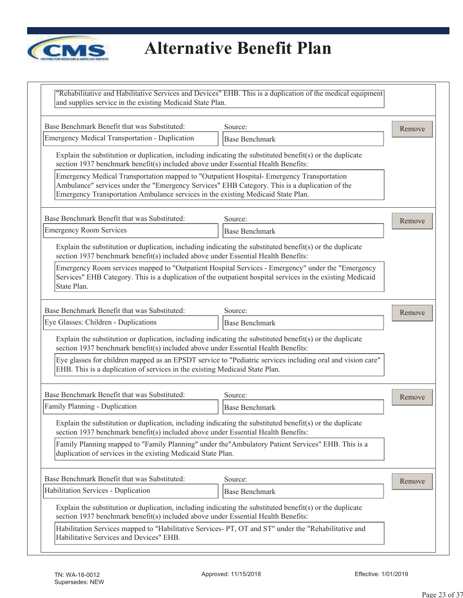

# *<u>CMS</u>* Alternative Benefit Plan

| and supplies service in the existing Medicaid State Plan.                                                                                                                                                                                                                      | "Rehabilitative and Habilitative Services and Devices" EHB. This is a duplication of the medical equipment                                                                                                      |        |
|--------------------------------------------------------------------------------------------------------------------------------------------------------------------------------------------------------------------------------------------------------------------------------|-----------------------------------------------------------------------------------------------------------------------------------------------------------------------------------------------------------------|--------|
| Base Benchmark Benefit that was Substituted:                                                                                                                                                                                                                                   | Source:                                                                                                                                                                                                         | Remove |
| <b>Emergency Medical Transportation - Duplication</b>                                                                                                                                                                                                                          | <b>Base Benchmark</b>                                                                                                                                                                                           |        |
| Explain the substitution or duplication, including indicating the substituted benefit(s) or the duplicate<br>section 1937 benchmark benefit(s) included above under Essential Health Benefits:                                                                                 |                                                                                                                                                                                                                 |        |
| Emergency Medical Transportation mapped to "Outpatient Hospital- Emergency Transportation<br>Ambulance" services under the "Emergency Services" EHB Category. This is a duplication of the<br>Emergency Transportation Ambulance services in the existing Medicaid State Plan. |                                                                                                                                                                                                                 |        |
| Base Benchmark Benefit that was Substituted:                                                                                                                                                                                                                                   | Source:                                                                                                                                                                                                         | Remove |
| <b>Emergency Room Services</b>                                                                                                                                                                                                                                                 | <b>Base Benchmark</b>                                                                                                                                                                                           |        |
| Explain the substitution or duplication, including indicating the substituted benefit(s) or the duplicate<br>section 1937 benchmark benefit(s) included above under Essential Health Benefits:                                                                                 |                                                                                                                                                                                                                 |        |
| State Plan.                                                                                                                                                                                                                                                                    | Emergency Room services mapped to "Outpatient Hospital Services - Emergency" under the "Emergency<br>Services" EHB Category. This is a duplication of the outpatient hospital services in the existing Medicaid |        |
| Base Benchmark Benefit that was Substituted:                                                                                                                                                                                                                                   | Source:                                                                                                                                                                                                         | Remove |
| Eye Glasses: Children - Duplications                                                                                                                                                                                                                                           | <b>Base Benchmark</b>                                                                                                                                                                                           |        |
| Explain the substitution or duplication, including indicating the substituted benefit(s) or the duplicate<br>section 1937 benchmark benefit(s) included above under Essential Health Benefits:                                                                                 |                                                                                                                                                                                                                 |        |
| EHB. This is a duplication of services in the existing Medicaid State Plan.                                                                                                                                                                                                    | Eye glasses for children mapped as an EPSDT service to "Pediatric services including oral and vision care"                                                                                                      |        |
| Base Benchmark Benefit that was Substituted:                                                                                                                                                                                                                                   | Source:                                                                                                                                                                                                         | Remove |
| Family Planning - Duplication                                                                                                                                                                                                                                                  | <b>Base Benchmark</b>                                                                                                                                                                                           |        |
| Explain the substitution or duplication, including indicating the substituted benefit(s) or the duplicate<br>section 1937 benchmark benefit(s) included above under Essential Health Benefits:                                                                                 |                                                                                                                                                                                                                 |        |
| duplication of services in the existing Medicaid State Plan.                                                                                                                                                                                                                   | Family Planning mapped to "Family Planning" under the "Ambulatory Patient Services" EHB. This is a                                                                                                              |        |
| Base Benchmark Benefit that was Substituted:                                                                                                                                                                                                                                   | Source:                                                                                                                                                                                                         | Remove |
| Habilitation Services - Duplication                                                                                                                                                                                                                                            | <b>Base Benchmark</b>                                                                                                                                                                                           |        |
| Explain the substitution or duplication, including indicating the substituted benefit(s) or the duplicate<br>section 1937 benchmark benefit(s) included above under Essential Health Benefits:                                                                                 |                                                                                                                                                                                                                 |        |
| Habilitation Services mapped to "Habilitative Services- PT, OT and ST" under the "Rehabilitative and<br>Habilitative Services and Devices" EHB.                                                                                                                                |                                                                                                                                                                                                                 |        |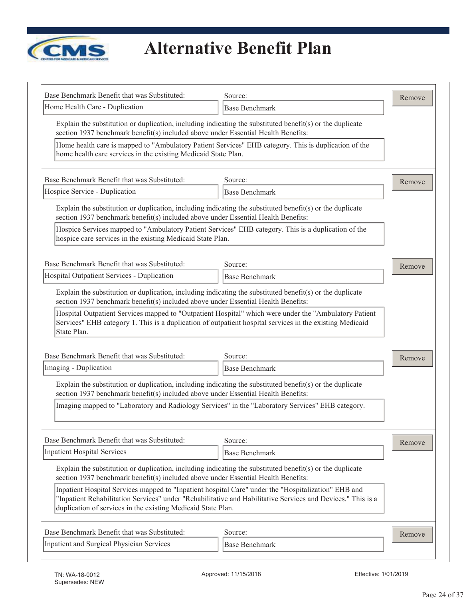

| Base Benchmark Benefit that was Substituted:                                                                                                                                                                                                                            | Source:                                                                                                                                                                                                           | Remove |
|-------------------------------------------------------------------------------------------------------------------------------------------------------------------------------------------------------------------------------------------------------------------------|-------------------------------------------------------------------------------------------------------------------------------------------------------------------------------------------------------------------|--------|
| Home Health Care - Duplication                                                                                                                                                                                                                                          | <b>Base Benchmark</b>                                                                                                                                                                                             |        |
| Explain the substitution or duplication, including indicating the substituted benefit(s) or the duplicate<br>section 1937 benchmark benefit(s) included above under Essential Health Benefits:                                                                          |                                                                                                                                                                                                                   |        |
| home health care services in the existing Medicaid State Plan.                                                                                                                                                                                                          | Home health care is mapped to "Ambulatory Patient Services" EHB category. This is duplication of the                                                                                                              |        |
| Base Benchmark Benefit that was Substituted:                                                                                                                                                                                                                            | Source:                                                                                                                                                                                                           | Remove |
| Hospice Service - Duplication                                                                                                                                                                                                                                           | <b>Base Benchmark</b>                                                                                                                                                                                             |        |
| Explain the substitution or duplication, including indicating the substituted benefit(s) or the duplicate<br>section 1937 benchmark benefit(s) included above under Essential Health Benefits:                                                                          |                                                                                                                                                                                                                   |        |
| hospice care services in the existing Medicaid State Plan.                                                                                                                                                                                                              | Hospice Services mapped to "Ambulatory Patient Services" EHB category. This is a duplication of the                                                                                                               |        |
| Base Benchmark Benefit that was Substituted:                                                                                                                                                                                                                            | Source:                                                                                                                                                                                                           | Remove |
| Hospital Outpatient Services - Duplication                                                                                                                                                                                                                              | <b>Base Benchmark</b>                                                                                                                                                                                             |        |
| Explain the substitution or duplication, including indicating the substituted benefit(s) or the duplicate<br>section 1937 benchmark benefit(s) included above under Essential Health Benefits:                                                                          |                                                                                                                                                                                                                   |        |
|                                                                                                                                                                                                                                                                         |                                                                                                                                                                                                                   |        |
| State Plan.                                                                                                                                                                                                                                                             | Hospital Outpatient Services mapped to "Outpatient Hospital" which were under the "Ambulatory Patient<br>Services" EHB category 1. This is a duplication of outpatient hospital services in the existing Medicaid |        |
|                                                                                                                                                                                                                                                                         | Source:                                                                                                                                                                                                           | Remove |
|                                                                                                                                                                                                                                                                         | <b>Base Benchmark</b>                                                                                                                                                                                             |        |
| Base Benchmark Benefit that was Substituted:<br>Imaging - Duplication<br>Explain the substitution or duplication, including indicating the substituted benefit(s) or the duplicate<br>section 1937 benchmark benefit(s) included above under Essential Health Benefits: |                                                                                                                                                                                                                   |        |
| Imaging mapped to "Laboratory and Radiology Services" in the "Laboratory Services" EHB category.                                                                                                                                                                        |                                                                                                                                                                                                                   |        |
|                                                                                                                                                                                                                                                                         | Source:                                                                                                                                                                                                           | Remove |
|                                                                                                                                                                                                                                                                         | <b>Base Benchmark</b>                                                                                                                                                                                             |        |
| Explain the substitution or duplication, including indicating the substituted benefit(s) or the duplicate<br>section 1937 benchmark benefit(s) included above under Essential Health Benefits:                                                                          |                                                                                                                                                                                                                   |        |
| Inpatient Hospital Services mapped to "Inpatient hospital Care" under the "Hospitalization" EHB and<br>duplication of services in the existing Medicaid State Plan.                                                                                                     | "Inpatient Rehabilitation Services" under "Rehabilitative and Habilitative Services and Devices." This is a                                                                                                       |        |
| Base Benchmark Benefit that was Substituted:<br><b>Inpatient Hospital Services</b><br>Base Benchmark Benefit that was Substituted:                                                                                                                                      | Source:                                                                                                                                                                                                           | Remove |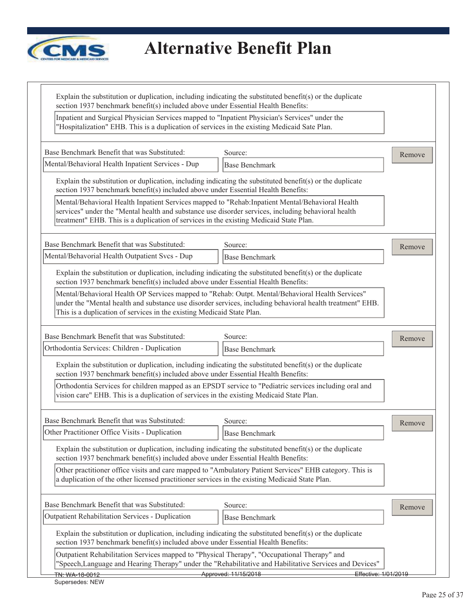

| "Hospitalization" EHB. This is a duplication of services in the existing Medicaid Sate Plan.                                                                                                                                                                                                       | Inpatient and Surgical Physician Services mapped to "Inpatient Physician's Services" under the |        |
|----------------------------------------------------------------------------------------------------------------------------------------------------------------------------------------------------------------------------------------------------------------------------------------------------|------------------------------------------------------------------------------------------------|--------|
| Base Benchmark Benefit that was Substituted:                                                                                                                                                                                                                                                       | Source:                                                                                        | Remove |
| Mental/Behavioral Health Inpatient Services - Dup                                                                                                                                                                                                                                                  | <b>Base Benchmark</b>                                                                          |        |
| Explain the substitution or duplication, including indicating the substituted benefit(s) or the duplicate<br>section 1937 benchmark benefit(s) included above under Essential Health Benefits:                                                                                                     |                                                                                                |        |
| Mental/Behavioral Health Inpatient Services mapped to "Rehab:Inpatient Mental/Behavioral Health<br>services" under the "Mental health and substance use disorder services, including behavioral health<br>treatment" EHB. This is a duplication of services in the existing Medicaid State Plan.   |                                                                                                |        |
| Base Benchmark Benefit that was Substituted:                                                                                                                                                                                                                                                       | Source:                                                                                        | Remove |
| Mental/Behavorial Health Outpatient Svcs - Dup                                                                                                                                                                                                                                                     | <b>Base Benchmark</b>                                                                          |        |
| Explain the substitution or duplication, including indicating the substituted benefit(s) or the duplicate<br>section 1937 benchmark benefit(s) included above under Essential Health Benefits:                                                                                                     |                                                                                                |        |
| Mental/Behavioral Health OP Services mapped to "Rehab: Outpt. Mental/Behavioral Health Services"<br>under the "Mental health and substance use disorder services, including behavioral health treatment" EHB.<br>This is a duplication of services in the existing Medicaid State Plan.            |                                                                                                |        |
| Base Benchmark Benefit that was Substituted:                                                                                                                                                                                                                                                       | Source:                                                                                        | Remove |
| Orthodontia Services: Children - Duplication                                                                                                                                                                                                                                                       | <b>Base Benchmark</b>                                                                          |        |
| Explain the substitution or duplication, including indicating the substituted benefit(s) or the duplicate<br>section 1937 benchmark benefit(s) included above under Essential Health Benefits:                                                                                                     |                                                                                                |        |
| Orthodontia Services for children mapped as an EPSDT service to "Pediatric services including oral and<br>vision care" EHB. This is a duplication of services in the existing Medicaid State Plan.                                                                                                 |                                                                                                |        |
|                                                                                                                                                                                                                                                                                                    |                                                                                                |        |
| Base Benchmark Benefit that was Substituted:                                                                                                                                                                                                                                                       | Source:                                                                                        |        |
| Other Practitioner Office Visits - Duplication                                                                                                                                                                                                                                                     | <b>Base Benchmark</b>                                                                          | Remove |
| Explain the substitution or duplication, including indicating the substituted benefit(s) or the duplicate<br>section 1937 benchmark benefit(s) included above under Essential Health Benefits:                                                                                                     |                                                                                                |        |
| Other practitioner office visits and care mapped to "Ambulatory Patient Services" EHB category. This is<br>a duplication of the other licensed practitioner services in the existing Medicaid State Plan.                                                                                          |                                                                                                |        |
|                                                                                                                                                                                                                                                                                                    | Source:                                                                                        | Remove |
|                                                                                                                                                                                                                                                                                                    | <b>Base Benchmark</b>                                                                          |        |
| Base Benchmark Benefit that was Substituted:<br>Outpatient Rehabilitation Services - Duplication<br>Explain the substitution or duplication, including indicating the substituted benefit(s) or the duplicate<br>section 1937 benchmark benefit(s) included above under Essential Health Benefits: |                                                                                                |        |
| Outpatient Rehabilitation Services mapped to "Physical Therapy", "Occupational Therapy" and<br>"Speech, Language and Hearing Therapy" under the "Rehabilitative and Habilitative Services and Devices"                                                                                             |                                                                                                |        |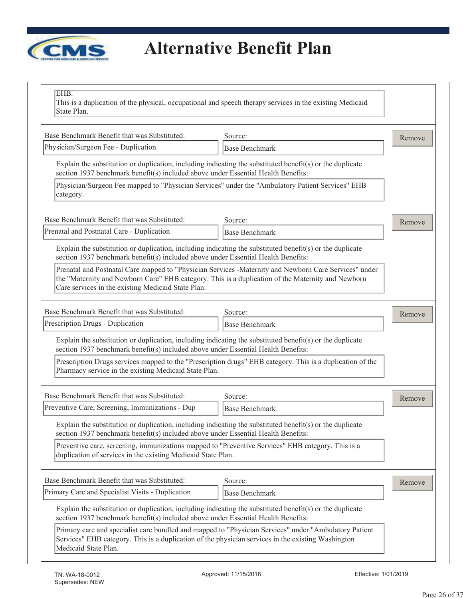

| EHB.<br>This is a duplication of the physical, occupational and speech therapy services in the existing Medicaid<br>State Plan.                                                                                                     |                                                                                                           |        |
|-------------------------------------------------------------------------------------------------------------------------------------------------------------------------------------------------------------------------------------|-----------------------------------------------------------------------------------------------------------|--------|
| Base Benchmark Benefit that was Substituted:                                                                                                                                                                                        | Source:                                                                                                   | Remove |
| Physician/Surgeon Fee - Duplication                                                                                                                                                                                                 | <b>Base Benchmark</b>                                                                                     |        |
| Explain the substitution or duplication, including indicating the substituted benefit(s) or the duplicate<br>section 1937 benchmark benefit(s) included above under Essential Health Benefits:                                      |                                                                                                           |        |
| Physician/Surgeon Fee mapped to "Physician Services" under the "Ambulatory Patient Services" EHB<br>category.                                                                                                                       |                                                                                                           |        |
| Base Benchmark Benefit that was Substituted:                                                                                                                                                                                        | Source:                                                                                                   | Remove |
| Prenatal and Postnatal Care - Duplication                                                                                                                                                                                           | <b>Base Benchmark</b>                                                                                     |        |
| Explain the substitution or duplication, including indicating the substituted benefit(s) or the duplicate<br>section 1937 benchmark benefit(s) included above under Essential Health Benefits:                                      |                                                                                                           |        |
| the "Maternity and Newborn Care" EHB category. This is a duplication of the Maternity and Newborn<br>Care services in the existing Medicaid State Plan.                                                                             | Prenatal and Postnatal Care mapped to "Physician Services -Maternity and Newborn Care Services" under     |        |
| Base Benchmark Benefit that was Substituted:                                                                                                                                                                                        | Source:                                                                                                   | Remove |
| Prescription Drugs - Duplication                                                                                                                                                                                                    | <b>Base Benchmark</b>                                                                                     |        |
| Explain the substitution or duplication, including indicating the substituted benefit(s) or the duplicate<br>section 1937 benchmark benefit(s) included above under Essential Health Benefits:                                      |                                                                                                           |        |
| Pharmacy service in the existing Medicaid State Plan.                                                                                                                                                                               | Prescription Drugs services mapped to the "Prescription drugs" EHB category. This is a duplication of the |        |
| Base Benchmark Benefit that was Substituted:                                                                                                                                                                                        | Source:                                                                                                   | Remove |
| Preventive Care, Screening, Immunizations - Dup                                                                                                                                                                                     | <b>Base Benchmark</b>                                                                                     |        |
| Explain the substitution or duplication, including indicating the substituted benefit(s) or the duplicate<br>section 1937 benchmark benefit(s) included above under Essential Health Benefits:                                      |                                                                                                           |        |
| Preventive care, screening, immunizations mapped to "Preventive Services" EHB category. This is a<br>duplication of services in the existing Medicaid State Plan.                                                                   |                                                                                                           |        |
| Base Benchmark Benefit that was Substituted:                                                                                                                                                                                        | Source:                                                                                                   | Remove |
| Primary Care and Specialist Visits - Duplication                                                                                                                                                                                    | <b>Base Benchmark</b>                                                                                     |        |
| Explain the substitution or duplication, including indicating the substituted benefit(s) or the duplicate<br>section 1937 benchmark benefit(s) included above under Essential Health Benefits:                                      |                                                                                                           |        |
| Primary care and specialist care bundled and mapped to "Physician Services" under "Ambulatory Patient<br>Services" EHB category. This is a duplication of the physician services in the existing Washington<br>Medicaid State Plan. |                                                                                                           |        |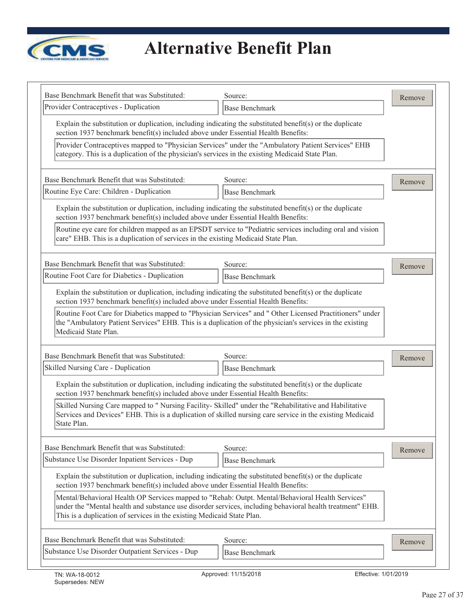

| Base Benchmark Benefit that was Substituted:                                                                                                                                                                                                 | Source:                                                                                                   | Remove |
|----------------------------------------------------------------------------------------------------------------------------------------------------------------------------------------------------------------------------------------------|-----------------------------------------------------------------------------------------------------------|--------|
| Provider Contraceptives - Duplication                                                                                                                                                                                                        | <b>Base Benchmark</b>                                                                                     |        |
| Explain the substitution or duplication, including indicating the substituted benefit(s) or the duplicate<br>section 1937 benchmark benefit(s) included above under Essential Health Benefits:                                               |                                                                                                           |        |
| Provider Contraceptives mapped to "Physician Services" under the "Ambulatory Patient Services" EHB<br>category. This is a duplication of the physician's services in the existing Medicaid State Plan.                                       |                                                                                                           |        |
| Base Benchmark Benefit that was Substituted:                                                                                                                                                                                                 | Source:                                                                                                   | Remove |
| Routine Eye Care: Children - Duplication                                                                                                                                                                                                     | <b>Base Benchmark</b>                                                                                     |        |
| Explain the substitution or duplication, including indicating the substituted benefit(s) or the duplicate<br>section 1937 benchmark benefit(s) included above under Essential Health Benefits:                                               |                                                                                                           |        |
| Routine eye care for children mapped as an EPSDT service to "Pediatric services including oral and vision<br>care" EHB. This is a duplication of services in the existing Medicaid State Plan.                                               |                                                                                                           |        |
| Base Benchmark Benefit that was Substituted:                                                                                                                                                                                                 | Source:                                                                                                   | Remove |
| Routine Foot Care for Diabetics - Duplication                                                                                                                                                                                                | <b>Base Benchmark</b>                                                                                     |        |
| Explain the substitution or duplication, including indicating the substituted benefit(s) or the duplicate<br>section 1937 benchmark benefit(s) included above under Essential Health Benefits:                                               |                                                                                                           |        |
| Routine Foot Care for Diabetics mapped to "Physician Services" and " Other Licensed Practitioners" under<br>the "Ambulatory Patient Services" EHB. This is a duplication of the physician's services in the existing<br>Medicaid State Plan. |                                                                                                           |        |
| Base Benchmark Benefit that was Substituted:                                                                                                                                                                                                 | Source:                                                                                                   | Remove |
| Skilled Nursing Care - Duplication                                                                                                                                                                                                           | <b>Base Benchmark</b>                                                                                     |        |
| Explain the substitution or duplication, including indicating the substituted benefit(s) or the duplicate<br>section 1937 benchmark benefit(s) included above under Essential Health Benefits:                                               |                                                                                                           |        |
| Skilled Nursing Care mapped to " Nursing Facility- Skilled" under the "Rehabilitative and Habilitative<br>Services and Devices" EHB. This is a duplication of skilled nursing care service in the existing Medicaid<br>State Plan.           |                                                                                                           |        |
| Base Benchmark Benefit that was Substituted:                                                                                                                                                                                                 | Source:                                                                                                   | Remove |
| Substance Use Disorder Inpatient Services - Dup                                                                                                                                                                                              | <b>Base Benchmark</b>                                                                                     |        |
| Explain the substitution or duplication, including indicating the substituted benefit(s) or the duplicate<br>section 1937 benchmark benefit(s) included above under Essential Health Benefits:                                               |                                                                                                           |        |
| Mental/Behavioral Health OP Services mapped to "Rehab: Outpt. Mental/Behavioral Health Services"                                                                                                                                             | under the "Mental health and substance use disorder services, including behavioral health treatment" EHB. |        |
| This is a duplication of services in the existing Medicaid State Plan.                                                                                                                                                                       |                                                                                                           |        |
| Base Benchmark Benefit that was Substituted:<br>Substance Use Disorder Outpatient Services - Dup                                                                                                                                             | Source:                                                                                                   | Remove |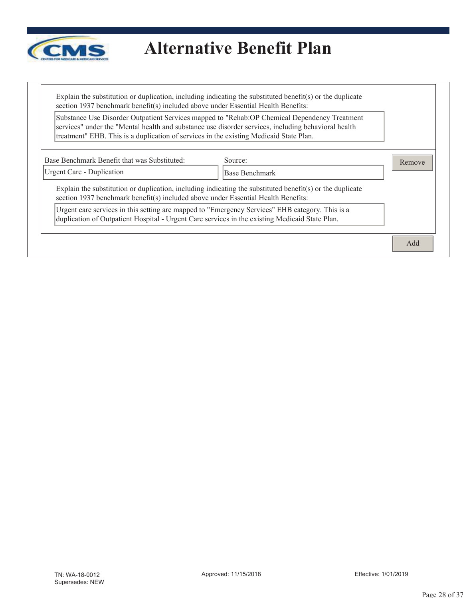

Explain the substitution or duplication, including indicating the substituted benefit(s) or the duplicate section 1937 benchmark benefit(s) included above under Essential Health Benefits:

Substance Use Disorder Outpatient Services mapped to "Rehab:OP Chemical Dependency Treatment services" under the "Mental health and substance use disorder services, including behavioral health treatment" EHB. This is a duplication of services in the existing Medicaid State Plan.

| Urgent Care - Duplication                                                                      | Base Benchmark                                                                                            |  |
|------------------------------------------------------------------------------------------------|-----------------------------------------------------------------------------------------------------------|--|
| section 1937 benchmark benefit(s) included above under Essential Health Benefits:              | Explain the substitution or duplication, including indicating the substituted benefit(s) or the duplicate |  |
| duplication of Outpatient Hospital - Urgent Care services in the existing Medicaid State Plan. | Urgent care services in this setting are mapped to "Emergency Services" EHB category. This is a           |  |

 $\blacksquare$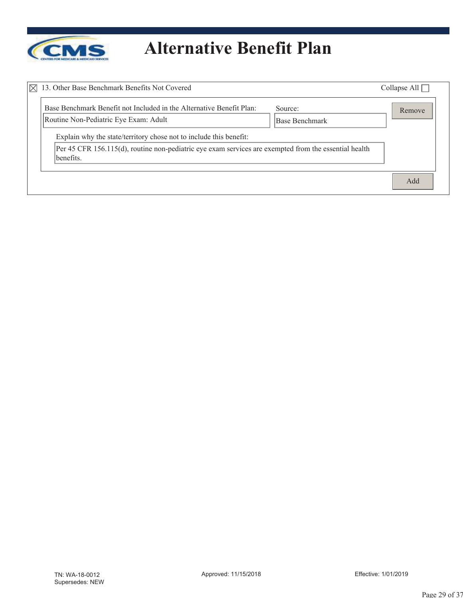

| $\boxtimes$<br>13. Other Base Benchmark Benefits Not Covered                                                                                                                             |                           | Collapse All $\Box$ |
|------------------------------------------------------------------------------------------------------------------------------------------------------------------------------------------|---------------------------|---------------------|
| Base Benchmark Benefit not Included in the Alternative Benefit Plan:<br>Routine Non-Pediatric Eye Exam: Adult                                                                            | Source:<br>Base Benchmark | Remove              |
| Explain why the state/territory chose not to include this benefit:<br>Per 45 CFR 156.115(d), routine non-pediatric eye exam services are exempted from the essential health<br>benefits. |                           |                     |
|                                                                                                                                                                                          |                           | Add                 |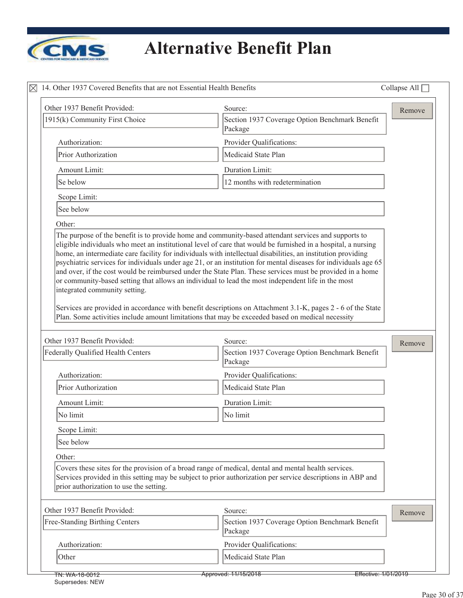

| Other 1937 Benefit Provided:            | Source:                                                                                                                                                                                                             | Remove |
|-----------------------------------------|---------------------------------------------------------------------------------------------------------------------------------------------------------------------------------------------------------------------|--------|
| 1915(k) Community First Choice          | Section 1937 Coverage Option Benchmark Benefit<br>Package                                                                                                                                                           |        |
| Authorization:                          | Provider Qualifications:                                                                                                                                                                                            |        |
| Prior Authorization                     | Medicaid State Plan                                                                                                                                                                                                 |        |
| Amount Limit:                           | Duration Limit:                                                                                                                                                                                                     |        |
| Se below                                | 12 months with redetermination                                                                                                                                                                                      |        |
| Scope Limit:                            |                                                                                                                                                                                                                     |        |
| See below                               |                                                                                                                                                                                                                     |        |
| Other:                                  |                                                                                                                                                                                                                     |        |
| integrated community setting.           | and over, if the cost would be reimbursed under the State Plan. These services must be provided in a home<br>or community-based setting that allows an individual to lead the most independent life in the most     |        |
|                                         | Services are provided in accordance with benefit descriptions on Attachment 3.1-K, pages 2 - 6 of the State<br>Plan. Some activities include amount limitations that may be exceeded based on medical necessity     |        |
| Other 1937 Benefit Provided:            | Source:                                                                                                                                                                                                             | Remove |
| Federally Qualified Health Centers      | Section 1937 Coverage Option Benchmark Benefit<br>Package                                                                                                                                                           |        |
| Authorization:                          | Provider Qualifications:                                                                                                                                                                                            |        |
| Prior Authorization                     | Medicaid State Plan                                                                                                                                                                                                 |        |
| Amount Limit:                           | Duration Limit:                                                                                                                                                                                                     |        |
| No limit                                | No limit                                                                                                                                                                                                            |        |
| Scope Limit:                            |                                                                                                                                                                                                                     |        |
| See below                               |                                                                                                                                                                                                                     |        |
| Other:                                  |                                                                                                                                                                                                                     |        |
| prior authorization to use the setting. | Covers these sites for the provision of a broad range of medical, dental and mental health services.<br>Services provided in this setting may be subject to prior authorization per service descriptions in ABP and |        |
| Other 1937 Benefit Provided:            | Source:                                                                                                                                                                                                             |        |
| Free-Standing Birthing Centers          | Section 1937 Coverage Option Benchmark Benefit<br>Package                                                                                                                                                           | Remove |
| Authorization:                          | Provider Qualifications:                                                                                                                                                                                            |        |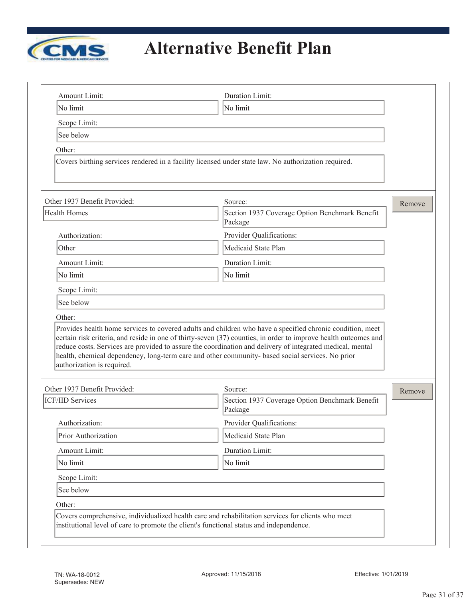

|                                   | Duration Limit:                                                                                                                                                                                                                                                                                                                  |        |
|-----------------------------------|----------------------------------------------------------------------------------------------------------------------------------------------------------------------------------------------------------------------------------------------------------------------------------------------------------------------------------|--------|
| No limit                          | No limit                                                                                                                                                                                                                                                                                                                         |        |
| Scope Limit:                      |                                                                                                                                                                                                                                                                                                                                  |        |
| See below                         |                                                                                                                                                                                                                                                                                                                                  |        |
| Other:                            |                                                                                                                                                                                                                                                                                                                                  |        |
|                                   | Covers birthing services rendered in a facility licensed under state law. No authorization required.                                                                                                                                                                                                                             |        |
| Other 1937 Benefit Provided:      | Source:                                                                                                                                                                                                                                                                                                                          | Remove |
| Health Homes                      | Section 1937 Coverage Option Benchmark Benefit<br>Package                                                                                                                                                                                                                                                                        |        |
| Authorization:                    | Provider Qualifications:                                                                                                                                                                                                                                                                                                         |        |
| Other                             | Medicaid State Plan                                                                                                                                                                                                                                                                                                              |        |
| Amount Limit:                     | Duration Limit:                                                                                                                                                                                                                                                                                                                  |        |
| No limit                          | No limit                                                                                                                                                                                                                                                                                                                         |        |
| Scope Limit:                      |                                                                                                                                                                                                                                                                                                                                  |        |
|                                   |                                                                                                                                                                                                                                                                                                                                  |        |
| See below                         |                                                                                                                                                                                                                                                                                                                                  |        |
| Other:                            | Provides health home services to covered adults and children who have a specified chronic condition, meet                                                                                                                                                                                                                        |        |
| authorization is required.        | certain risk criteria, and reside in one of thirty-seven (37) counties, in order to improve health outcomes and<br>reduce costs. Services are provided to assure the coordination and delivery of integrated medical, mental<br>health, chemical dependency, long-term care and other community- based social services. No prior |        |
| Other 1937 Benefit Provided:      | Source:                                                                                                                                                                                                                                                                                                                          | Remove |
|                                   | Section 1937 Coverage Option Benchmark Benefit<br>Package                                                                                                                                                                                                                                                                        |        |
| Authorization:                    | Provider Qualifications:                                                                                                                                                                                                                                                                                                         |        |
| Prior Authorization               | Medicaid State Plan                                                                                                                                                                                                                                                                                                              |        |
| Amount Limit:                     | Duration Limit:                                                                                                                                                                                                                                                                                                                  |        |
| No limit                          | No limit                                                                                                                                                                                                                                                                                                                         |        |
| Scope Limit:                      |                                                                                                                                                                                                                                                                                                                                  |        |
| See below                         |                                                                                                                                                                                                                                                                                                                                  |        |
| <b>ICF/IID Services</b><br>Other: |                                                                                                                                                                                                                                                                                                                                  |        |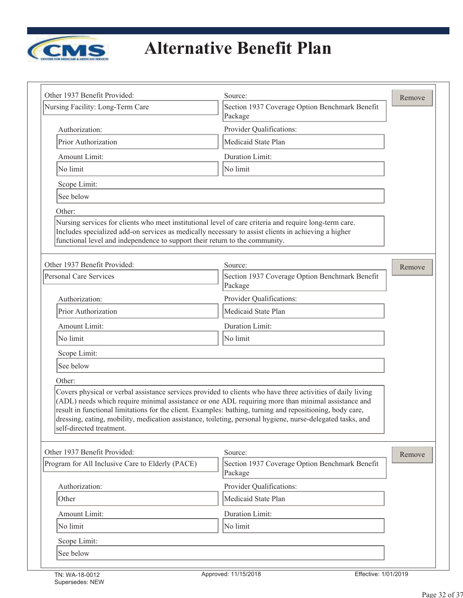

|                                                                             |                                                                                                                                                                                                                                                                                                                                                                                                                                              | Remove |
|-----------------------------------------------------------------------------|----------------------------------------------------------------------------------------------------------------------------------------------------------------------------------------------------------------------------------------------------------------------------------------------------------------------------------------------------------------------------------------------------------------------------------------------|--------|
| Nursing Facility: Long-Term Care                                            | Section 1937 Coverage Option Benchmark Benefit<br>Package                                                                                                                                                                                                                                                                                                                                                                                    |        |
| Authorization:                                                              | Provider Qualifications:                                                                                                                                                                                                                                                                                                                                                                                                                     |        |
| Prior Authorization                                                         | Medicaid State Plan                                                                                                                                                                                                                                                                                                                                                                                                                          |        |
| Amount Limit:                                                               | Duration Limit:                                                                                                                                                                                                                                                                                                                                                                                                                              |        |
| No limit                                                                    | No limit                                                                                                                                                                                                                                                                                                                                                                                                                                     |        |
| Scope Limit:                                                                |                                                                                                                                                                                                                                                                                                                                                                                                                                              |        |
| See below                                                                   |                                                                                                                                                                                                                                                                                                                                                                                                                                              |        |
| Other:                                                                      |                                                                                                                                                                                                                                                                                                                                                                                                                                              |        |
| functional level and independence to support their return to the community. | Nursing services for clients who meet institutional level of care criteria and require long-term care.<br>Includes specialized add-on services as medically necessary to assist clients in achieving a higher                                                                                                                                                                                                                                |        |
| Other 1937 Benefit Provided:                                                | Source:                                                                                                                                                                                                                                                                                                                                                                                                                                      | Remove |
| <b>Personal Care Services</b>                                               | Section 1937 Coverage Option Benchmark Benefit<br>Package                                                                                                                                                                                                                                                                                                                                                                                    |        |
| Authorization:                                                              | Provider Qualifications:                                                                                                                                                                                                                                                                                                                                                                                                                     |        |
| Prior Authorization                                                         | Medicaid State Plan                                                                                                                                                                                                                                                                                                                                                                                                                          |        |
| Amount Limit:                                                               | Duration Limit:                                                                                                                                                                                                                                                                                                                                                                                                                              |        |
| No limit                                                                    | No limit                                                                                                                                                                                                                                                                                                                                                                                                                                     |        |
| Scope Limit:                                                                |                                                                                                                                                                                                                                                                                                                                                                                                                                              |        |
| See below                                                                   |                                                                                                                                                                                                                                                                                                                                                                                                                                              |        |
|                                                                             |                                                                                                                                                                                                                                                                                                                                                                                                                                              |        |
| Other:                                                                      |                                                                                                                                                                                                                                                                                                                                                                                                                                              |        |
| self-directed treatment.                                                    | Covers physical or verbal assistance services provided to clients who have three activities of daily living<br>(ADL) needs which require minimal assistance or one ADL requiring more than minimal assistance and<br>result in functional limitations for the client. Examples: bathing, turning and repositioning, body care,<br>dressing, eating, mobility, medication assistance, toileting, personal hygiene, nurse-delegated tasks, and |        |
| Other 1937 Benefit Provided:                                                |                                                                                                                                                                                                                                                                                                                                                                                                                                              |        |
| Program for All Inclusive Care to Elderly (PACE)                            | Source:<br>Section 1937 Coverage Option Benchmark Benefit<br>Package                                                                                                                                                                                                                                                                                                                                                                         | Remove |
| Authorization:                                                              | Provider Qualifications:                                                                                                                                                                                                                                                                                                                                                                                                                     |        |
| Other                                                                       | Medicaid State Plan                                                                                                                                                                                                                                                                                                                                                                                                                          |        |
| Amount Limit:                                                               | Duration Limit:                                                                                                                                                                                                                                                                                                                                                                                                                              |        |
| No limit                                                                    | No limit                                                                                                                                                                                                                                                                                                                                                                                                                                     |        |
| Scope Limit:                                                                |                                                                                                                                                                                                                                                                                                                                                                                                                                              |        |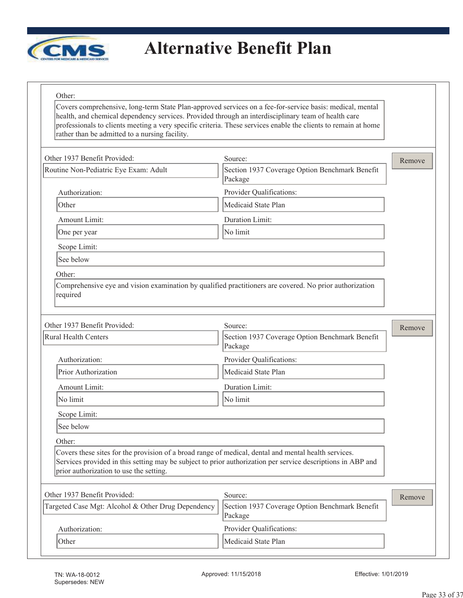

#### Other:

Covers comprehensive, long-term State Plan-approved services on a fee-for-service basis: medical, mental health, and chemical dependency services. Provided through an interdisciplinary team of health care professionals to clients meeting a very specific criteria. These services enable the clients to remain at home rather than be admitted to a nursing facility.

| Other 1937 Benefit Provided:                                                                                                                    | Source:                                                                                                     | Remove |
|-------------------------------------------------------------------------------------------------------------------------------------------------|-------------------------------------------------------------------------------------------------------------|--------|
| Routine Non-Pediatric Eye Exam: Adult                                                                                                           | Section 1937 Coverage Option Benchmark Benefit<br>Package                                                   |        |
| Authorization:                                                                                                                                  | Provider Qualifications:                                                                                    |        |
| Other                                                                                                                                           | Medicaid State Plan                                                                                         |        |
| Amount Limit:                                                                                                                                   | Duration Limit:                                                                                             |        |
| One per year                                                                                                                                    | No limit                                                                                                    |        |
| Scope Limit:                                                                                                                                    |                                                                                                             |        |
| See below                                                                                                                                       |                                                                                                             |        |
| Other:                                                                                                                                          |                                                                                                             |        |
| Comprehensive eye and vision examination by qualified practitioners are covered. No prior authorization<br>required                             |                                                                                                             |        |
| Other 1937 Benefit Provided:                                                                                                                    | Source:                                                                                                     | Remove |
| <b>Rural Health Centers</b>                                                                                                                     | Section 1937 Coverage Option Benchmark Benefit<br>Package                                                   |        |
| Authorization:                                                                                                                                  | Provider Qualifications:                                                                                    |        |
| Prior Authorization                                                                                                                             | Medicaid State Plan                                                                                         |        |
| Amount Limit:                                                                                                                                   | Duration Limit:                                                                                             |        |
| No limit                                                                                                                                        | No limit                                                                                                    |        |
| Scope Limit:                                                                                                                                    |                                                                                                             |        |
| See below                                                                                                                                       |                                                                                                             |        |
| Other:                                                                                                                                          |                                                                                                             |        |
| Covers these sites for the provision of a broad range of medical, dental and mental health services.<br>prior authorization to use the setting. | Services provided in this setting may be subject to prior authorization per service descriptions in ABP and |        |
| Other 1937 Benefit Provided:                                                                                                                    | Source:                                                                                                     | Remove |
| Targeted Case Mgt: Alcohol & Other Drug Dependency                                                                                              | Section 1937 Coverage Option Benchmark Benefit<br>Package                                                   |        |
| Authorization:                                                                                                                                  | Provider Qualifications:                                                                                    |        |
|                                                                                                                                                 |                                                                                                             |        |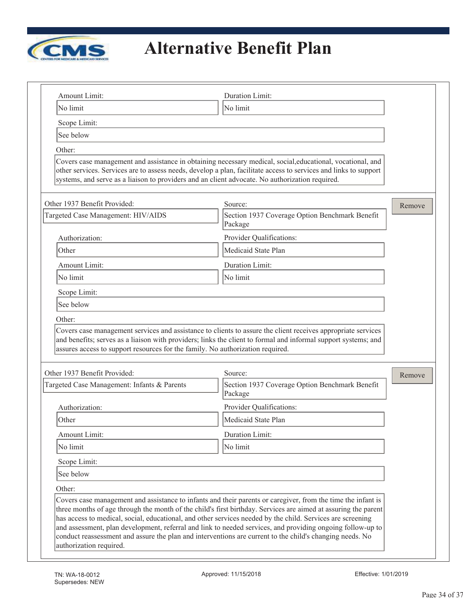

| No limit                                                                                                       | Duration Limit:                                                                                                                                                                                                                                                                                                                   |        |
|----------------------------------------------------------------------------------------------------------------|-----------------------------------------------------------------------------------------------------------------------------------------------------------------------------------------------------------------------------------------------------------------------------------------------------------------------------------|--------|
|                                                                                                                | No limit                                                                                                                                                                                                                                                                                                                          |        |
| Scope Limit:                                                                                                   |                                                                                                                                                                                                                                                                                                                                   |        |
| See below                                                                                                      |                                                                                                                                                                                                                                                                                                                                   |        |
| Other:                                                                                                         |                                                                                                                                                                                                                                                                                                                                   |        |
|                                                                                                                | Covers case management and assistance in obtaining necessary medical, social, educational, vocational, and<br>other services. Services are to assess needs, develop a plan, facilitate access to services and links to support<br>systems, and serve as a liaison to providers and an client advocate. No authorization required. |        |
| Other 1937 Benefit Provided:                                                                                   | Source:                                                                                                                                                                                                                                                                                                                           | Remove |
| Targeted Case Management: HIV/AIDS                                                                             | Section 1937 Coverage Option Benchmark Benefit<br>Package                                                                                                                                                                                                                                                                         |        |
| Authorization:                                                                                                 | Provider Qualifications:                                                                                                                                                                                                                                                                                                          |        |
| Other                                                                                                          | Medicaid State Plan                                                                                                                                                                                                                                                                                                               |        |
| Amount Limit:                                                                                                  | Duration Limit:                                                                                                                                                                                                                                                                                                                   |        |
| No limit                                                                                                       | No limit                                                                                                                                                                                                                                                                                                                          |        |
| Scope Limit:                                                                                                   |                                                                                                                                                                                                                                                                                                                                   |        |
| See below                                                                                                      |                                                                                                                                                                                                                                                                                                                                   |        |
| Other:                                                                                                         |                                                                                                                                                                                                                                                                                                                                   |        |
| and benefits; serves as a liaison with providers; links the client to formal and informal support systems; and | Covers case management services and assistance to clients to assure the client receives appropriate services                                                                                                                                                                                                                      |        |
| assures access to support resources for the family. No authorization required.<br>Other 1937 Benefit Provided: | Source:                                                                                                                                                                                                                                                                                                                           |        |
| Targeted Case Management: Infants & Parents                                                                    | Section 1937 Coverage Option Benchmark Benefit<br>Package                                                                                                                                                                                                                                                                         | Remove |
| Authorization:                                                                                                 | Provider Qualifications:                                                                                                                                                                                                                                                                                                          |        |
| Other                                                                                                          | Medicaid State Plan                                                                                                                                                                                                                                                                                                               |        |
| Amount Limit:                                                                                                  | Duration Limit:                                                                                                                                                                                                                                                                                                                   |        |
| No limit                                                                                                       | No limit                                                                                                                                                                                                                                                                                                                          |        |
| Scope Limit:                                                                                                   |                                                                                                                                                                                                                                                                                                                                   |        |
| See below                                                                                                      |                                                                                                                                                                                                                                                                                                                                   |        |
| Other:                                                                                                         |                                                                                                                                                                                                                                                                                                                                   |        |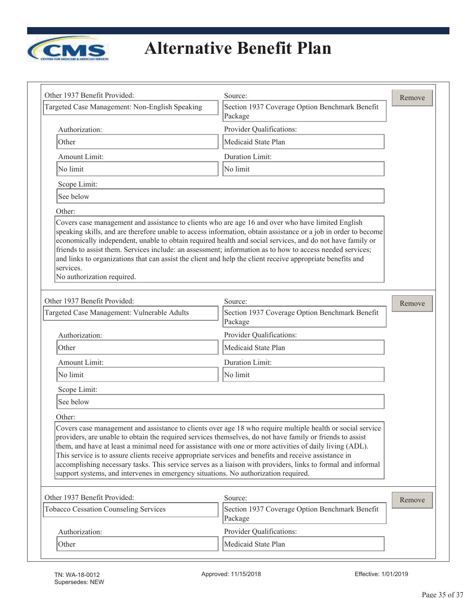

| Other 1937 Benefit Provided:                                                                                                                                                                                                                                       | Source:                                                                                                                                                                                                                     | Remove |
|--------------------------------------------------------------------------------------------------------------------------------------------------------------------------------------------------------------------------------------------------------------------|-----------------------------------------------------------------------------------------------------------------------------------------------------------------------------------------------------------------------------|--------|
| Targeted Case Management: Non-English Speaking                                                                                                                                                                                                                     | Section 1937 Coverage Option Benchmark Benefit<br>Package                                                                                                                                                                   |        |
| Authorization:                                                                                                                                                                                                                                                     | Provider Qualifications:                                                                                                                                                                                                    |        |
| Other                                                                                                                                                                                                                                                              | Medicaid State Plan                                                                                                                                                                                                         |        |
| Amount Limit:                                                                                                                                                                                                                                                      | Duration Limit:                                                                                                                                                                                                             |        |
| No limit                                                                                                                                                                                                                                                           | No limit                                                                                                                                                                                                                    |        |
| Scope Limit:                                                                                                                                                                                                                                                       |                                                                                                                                                                                                                             |        |
| See below                                                                                                                                                                                                                                                          |                                                                                                                                                                                                                             |        |
| Other:                                                                                                                                                                                                                                                             |                                                                                                                                                                                                                             |        |
| friends to assist them. Services include: an assessment; information as to how to access needed services;<br>and links to organizations that can assist the client and help the client receive appropriate benefits and<br>services.<br>No authorization required. | speaking skills, and are therefore unable to access information, obtain assistance or a job in order to become<br>economically independent, unable to obtain required health and social services, and do not have family or |        |
| Other 1937 Benefit Provided:                                                                                                                                                                                                                                       | Source:                                                                                                                                                                                                                     | Remove |
| Targeted Case Management: Vulnerable Adults                                                                                                                                                                                                                        | Section 1937 Coverage Option Benchmark Benefit<br>Package                                                                                                                                                                   |        |
| Authorization:                                                                                                                                                                                                                                                     | Provider Qualifications:                                                                                                                                                                                                    |        |
| Other                                                                                                                                                                                                                                                              | Medicaid State Plan                                                                                                                                                                                                         |        |
| Amount Limit:                                                                                                                                                                                                                                                      | Duration Limit:                                                                                                                                                                                                             |        |
| No limit                                                                                                                                                                                                                                                           | No limit                                                                                                                                                                                                                    |        |
| Scope Limit:                                                                                                                                                                                                                                                       |                                                                                                                                                                                                                             |        |
| See below                                                                                                                                                                                                                                                          |                                                                                                                                                                                                                             |        |
| Other:                                                                                                                                                                                                                                                             |                                                                                                                                                                                                                             |        |
| providers, are unable to obtain the required services themselves, do not have family or friends to assist<br>them, and have at least a minimal need for assistance with one or more activities of daily living (ADL).                                              | Covers case management and assistance to clients over age 18 who require multiple health or social service                                                                                                                  |        |
| This service is to assure clients receive appropriate services and benefits and receive assistance in<br>support systems, and intervenes in emergency situations. No authorization required.                                                                       | accomplishing necessary tasks. This service serves as a liaison with providers, links to formal and informal                                                                                                                |        |
|                                                                                                                                                                                                                                                                    | Source:                                                                                                                                                                                                                     |        |
| Other 1937 Benefit Provided:<br><b>Tobacco Cessation Counseling Services</b>                                                                                                                                                                                       | Section 1937 Coverage Option Benchmark Benefit<br>Package                                                                                                                                                                   |        |
| Authorization:                                                                                                                                                                                                                                                     | Provider Qualifications:                                                                                                                                                                                                    | Remove |

 $\overline{\phantom{0}}$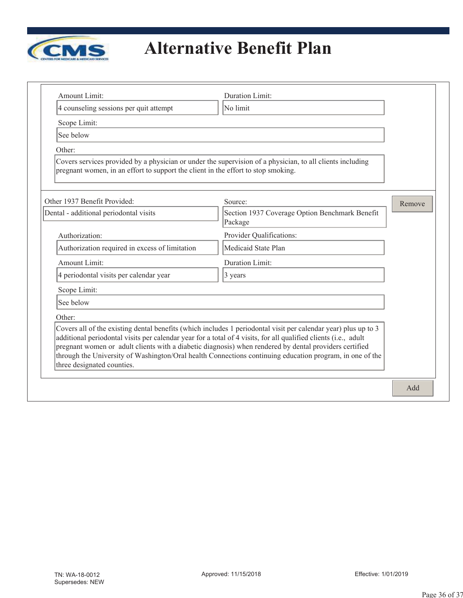

| Amount Limit:                                                                     | Duration Limit:                                                                                                                                                                                                                                                                                                                                                                                                                                         |        |
|-----------------------------------------------------------------------------------|---------------------------------------------------------------------------------------------------------------------------------------------------------------------------------------------------------------------------------------------------------------------------------------------------------------------------------------------------------------------------------------------------------------------------------------------------------|--------|
| 4 counseling sessions per quit attempt                                            | No limit                                                                                                                                                                                                                                                                                                                                                                                                                                                |        |
| Scope Limit:                                                                      |                                                                                                                                                                                                                                                                                                                                                                                                                                                         |        |
| See below                                                                         |                                                                                                                                                                                                                                                                                                                                                                                                                                                         |        |
| Other:                                                                            |                                                                                                                                                                                                                                                                                                                                                                                                                                                         |        |
| pregnant women, in an effort to support the client in the effort to stop smoking. | Covers services provided by a physician or under the supervision of a physician, to all clients including                                                                                                                                                                                                                                                                                                                                               |        |
| Other 1937 Benefit Provided:                                                      | Source:                                                                                                                                                                                                                                                                                                                                                                                                                                                 | Remove |
| Dental - additional periodontal visits                                            | Section 1937 Coverage Option Benchmark Benefit<br>Package                                                                                                                                                                                                                                                                                                                                                                                               |        |
| Authorization:                                                                    | Provider Qualifications:                                                                                                                                                                                                                                                                                                                                                                                                                                |        |
| Authorization required in excess of limitation                                    | Medicaid State Plan                                                                                                                                                                                                                                                                                                                                                                                                                                     |        |
| Amount Limit:                                                                     | Duration Limit:                                                                                                                                                                                                                                                                                                                                                                                                                                         |        |
| 4 periodontal visits per calendar year                                            | 3 years                                                                                                                                                                                                                                                                                                                                                                                                                                                 |        |
| Scope Limit:                                                                      |                                                                                                                                                                                                                                                                                                                                                                                                                                                         |        |
| See below                                                                         |                                                                                                                                                                                                                                                                                                                                                                                                                                                         |        |
| Other:                                                                            |                                                                                                                                                                                                                                                                                                                                                                                                                                                         |        |
| three designated counties.                                                        | Covers all of the existing dental benefits (which includes 1 periodontal visit per calendar year) plus up to 3<br>additional periodontal visits per calendar year for a total of 4 visits, for all qualified clients (i.e., adult<br>pregnant women or adult clients with a diabetic diagnosis) when rendered by dental providers certified<br>through the University of Washington/Oral health Connections continuing education program, in one of the |        |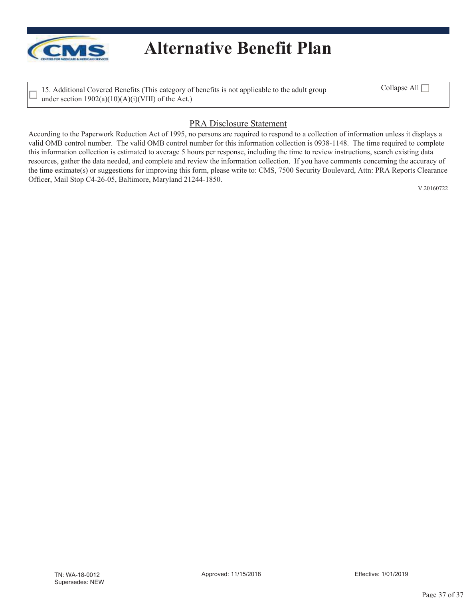

15. Additional Covered Benefits (This category of benefits is not applicable to the adult group under section  $1902(a)(10)(A)(i)(VIII)$  of the Act.)

Collapse All  $\Box$ 

### PRA Disclosure Statement

According to the Paperwork Reduction Act of 1995, no persons are required to respond to a collection of information unless it displays a valid OMB control number. The valid OMB control number for this information collection is 0938-1148. The time required to complete this information collection is estimated to average 5 hours per response, including the time to review instructions, search existing data resources, gather the data needed, and complete and review the information collection. If you have comments concerning the accuracy of the time estimate(s) or suggestions for improving this form, please write to: CMS, 7500 Security Boulevard, Attn: PRA Reports Clearance Officer, Mail Stop C4-26-05, Baltimore, Maryland 21244-1850.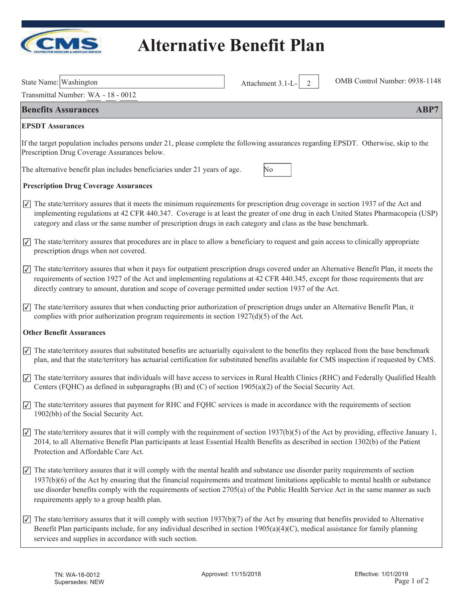

| State Name: Washington                                                                                                                                                                                                                                                                                                                                                                                                                                                                                   | Attachment 3.1-L-<br>2 | OMB Control Number: 0938-1148 |
|----------------------------------------------------------------------------------------------------------------------------------------------------------------------------------------------------------------------------------------------------------------------------------------------------------------------------------------------------------------------------------------------------------------------------------------------------------------------------------------------------------|------------------------|-------------------------------|
| Transmittal Number: WA - 18 - 0012                                                                                                                                                                                                                                                                                                                                                                                                                                                                       |                        |                               |
| <b>Benefits Assurances</b>                                                                                                                                                                                                                                                                                                                                                                                                                                                                               |                        | ABP7                          |
| <b>EPSDT</b> Assurances                                                                                                                                                                                                                                                                                                                                                                                                                                                                                  |                        |                               |
| If the target population includes persons under 21, please complete the following assurances regarding EPSDT. Otherwise, skip to the<br>Prescription Drug Coverage Assurances below.                                                                                                                                                                                                                                                                                                                     |                        |                               |
| The alternative benefit plan includes beneficiaries under 21 years of age.                                                                                                                                                                                                                                                                                                                                                                                                                               | No                     |                               |
| <b>Prescription Drug Coverage Assurances</b>                                                                                                                                                                                                                                                                                                                                                                                                                                                             |                        |                               |
| $\sqrt{\sqrt{ }}$ The state/territory assures that it meets the minimum requirements for prescription drug coverage in section 1937 of the Act and<br>implementing regulations at 42 CFR 440.347. Coverage is at least the greater of one drug in each United States Pharmacopeia (USP)<br>category and class or the same number of prescription drugs in each category and class as the base benchmark.                                                                                                 |                        |                               |
| $\sqrt{\phantom{a}}$ The state/territory assures that procedures are in place to allow a beneficiary to request and gain access to clinically appropriate<br>prescription drugs when not covered.                                                                                                                                                                                                                                                                                                        |                        |                               |
| The state/territory assures that when it pays for outpatient prescription drugs covered under an Alternative Benefit Plan, it meets the<br>$\vert \sqrt{2} \vert$<br>requirements of section 1927 of the Act and implementing regulations at 42 CFR 440.345, except for those requirements that are<br>directly contrary to amount, duration and scope of coverage permitted under section 1937 of the Act.                                                                                              |                        |                               |
| The state/territory assures that when conducting prior authorization of prescription drugs under an Alternative Benefit Plan, it<br>$\vert \overline{\checkmark} \vert$<br>complies with prior authorization program requirements in section $1927(d)(5)$ of the Act.                                                                                                                                                                                                                                    |                        |                               |
| <b>Other Benefit Assurances</b>                                                                                                                                                                                                                                                                                                                                                                                                                                                                          |                        |                               |
| $\sqrt{\sqrt{ }}$ The state/territory assures that substituted benefits are actuarially equivalent to the benefits they replaced from the base benchmark<br>plan, and that the state/territory has actuarial certification for substituted benefits available for CMS inspection if requested by CMS.                                                                                                                                                                                                    |                        |                               |
| $\sqrt{ }$ The state/territory assures that individuals will have access to services in Rural Health Clinics (RHC) and Federally Qualified Health<br>Centers (FQHC) as defined in subparagraphs (B) and (C) of section $1905(a)(2)$ of the Social Security Act.                                                                                                                                                                                                                                          |                        |                               |
| $\sqrt{\phantom{a}}$ The state/territory assures that payment for RHC and FQHC services is made in accordance with the requirements of section<br>1902(bb) of the Social Security Act.                                                                                                                                                                                                                                                                                                                   |                        |                               |
| $\sqrt{\phantom{a}}$ The state/territory assures that it will comply with the requirement of section 1937(b)(5) of the Act by providing, effective January 1,<br>2014, to all Alternative Benefit Plan participants at least Essential Health Benefits as described in section 1302(b) of the Patient<br>Protection and Affordable Care Act.                                                                                                                                                             |                        |                               |
| The state/territory assures that it will comply with the mental health and substance use disorder parity requirements of section<br>$\vert \textcolor{red}{\checkmark} \vert$<br>1937(b)(6) of the Act by ensuring that the financial requirements and treatment limitations applicable to mental health or substance<br>use disorder benefits comply with the requirements of section 2705(a) of the Public Health Service Act in the same manner as such<br>requirements apply to a group health plan. |                        |                               |
| The state/territory assures that it will comply with section $1937(b)(7)$ of the Act by ensuring that benefits provided to Alternative<br>$ {\mathcal{Y}} $<br>Benefit Plan participants include, for any individual described in section $1905(a)(4)(C)$ , medical assistance for family planning<br>services and supplies in accordance with such section.                                                                                                                                             |                        |                               |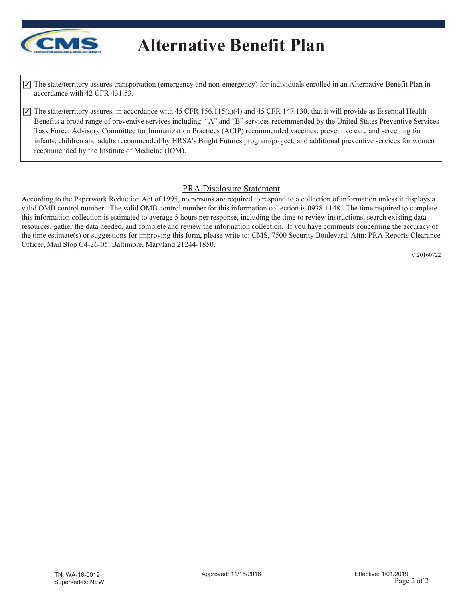

 $\overline{\mathcal{L}}$  The state/territory assures transportation (emergency and non-emergency) for individuals enrolled in an Alternative Benefit Plan in accordance with 42 CFR 431.53.

 $\overline{\mathcal{A}}$  The state/territory assures, in accordance with 45 CFR 156.115(a)(4) and 45 CFR 147.130, that it will provide as Essential Health Benefits a broad range of preventive services including: "A" and "B" services recommended by the United States Preventive Services Task Force; Advisory Committee for Immunization Practices (ACIP) recommended vaccines; preventive care and screening for infants, children and adults recommended by HRSA's Bright Futures program/project; and additional preventive services for women recommended by the Institute of Medicine (IOM).

### PRA Disclosure Statement

According to the Paperwork Reduction Act of 1995, no persons are required to respond to a collection of information unless it displays a valid OMB control number. The valid OMB control number for this information collection is 0938-1148. The time required to complete this information collection is estimated to average 5 hours per response, including the time to review instructions, search existing data resources, gather the data needed, and complete and review the information collection. If you have comments concerning the accuracy of the time estimate(s) or suggestions for improving this form, please write to: CMS, 7500 Security Boulevard, Attn: PRA Reports Clearance Officer, Mail Stop C4-26-05, Baltimore, Maryland 21244-1850.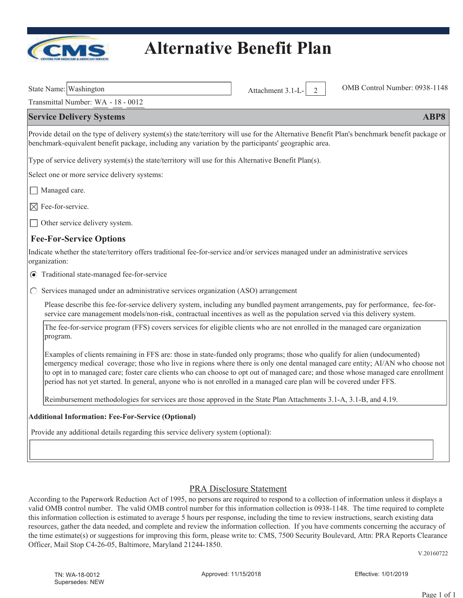

Transmittal Number: WA - 18 - 0012

#### **Service Delivery Systems ABP8**

Provide detail on the type of delivery system(s) the state/territory will use for the Alternative Benefit Plan's benchmark benefit package or benchmark-equivalent benefit package, including any variation by the participants' geographic area.

Type of service delivery system(s) the state/territory will use for this Alternative Benefit Plan(s).

Select one or more service delivery systems:

- Managed care.
- $\boxtimes$  Fee-for-service.

 $\Box$  Other service delivery system.

#### **Fee-For-Service Options**

Indicate whether the state/territory offers traditional fee-for-service and/or services managed under an administrative services organization:

- Traditional state-managed fee-for-service
- $\circ$  Services managed under an administrative services organization (ASO) arrangement

Please describe this fee-for-service delivery system, including any bundled payment arrangements, pay for performance, fee-forservice care management models/non-risk, contractual incentives as well as the population served via this delivery system.

The fee-for-service program (FFS) covers services for eligible clients who are not enrolled in the managed care organization program.

Examples of clients remaining in FFS are: those in state-funded only programs; those who qualify for alien (undocumented) emergency medical coverage; those who live in regions where there is only one dental managed care entity; AI/AN who choose not to opt in to managed care; foster care clients who can choose to opt out of managed care; and those whose managed care enrollment period has not yet started. In general, anyone who is not enrolled in a managed care plan will be covered under FFS.

Reimbursement methodologies for services are those approved in the State Plan Attachments 3.1-A, 3.1-B, and 4.19.

#### **Additional Information: Fee-For-Service (Optional)**

Provide any additional details regarding this service delivery system (optional):

#### PRA Disclosure Statement

According to the Paperwork Reduction Act of 1995, no persons are required to respond to a collection of information unless it displays a valid OMB control number. The valid OMB control number for this information collection is 0938-1148. The time required to complete this information collection is estimated to average 5 hours per response, including the time to review instructions, search existing data resources, gather the data needed, and complete and review the information collection. If you have comments concerning the accuracy of the time estimate(s) or suggestions for improving this form, please write to: CMS, 7500 Security Boulevard, Attn: PRA Reports Clearance Officer, Mail Stop C4-26-05, Baltimore, Maryland 21244-1850.

V.20160722

State Name: Washington Attachment 3.1-L- 2 OMB Control Number: 0938-1148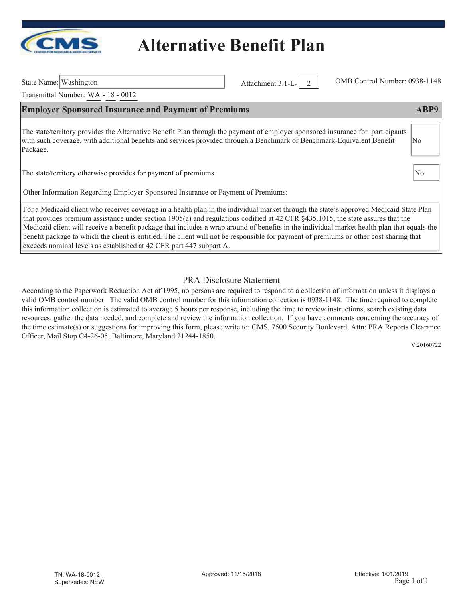

State Name: Washington Attachment 3.1-L- 2 OMB Control Number: 0938-1148

Transmittal Number: WA - 18 - 0012

#### **Employer Sponsored Insurance and Payment of Premiums ABP9 ABP9**

The state/territory provides the Alternative Benefit Plan through the payment of employer sponsored insurance for participants with such coverage, with additional benefits and services provided through a Benchmark or Benchmark-Equivalent Benefit Package. No

The state/territory otherwise provides for payment of premiums.

Other Information Regarding Employer Sponsored Insurance or Payment of Premiums:

For a Medicaid client who receives coverage in a health plan in the individual market through the state's approved Medicaid State Plan that provides premium assistance under section 1905(a) and regulations codified at 42 CFR §435.1015, the state assures that the Medicaid client will receive a benefit package that includes a wrap around of benefits in the individual market health plan that equals the benefit package to which the client is entitled. The client will not be responsible for payment of premiums or other cost sharing that exceeds nominal levels as established at 42 CFR part 447 subpart A.

#### PRA Disclosure Statement

According to the Paperwork Reduction Act of 1995, no persons are required to respond to a collection of information unless it displays a valid OMB control number. The valid OMB control number for this information collection is 0938-1148. The time required to complete this information collection is estimated to average 5 hours per response, including the time to review instructions, search existing data resources, gather the data needed, and complete and review the information collection. If you have comments concerning the accuracy of the time estimate(s) or suggestions for improving this form, please write to: CMS, 7500 Security Boulevard, Attn: PRA Reports Clearance Officer, Mail Stop C4-26-05, Baltimore, Maryland 21244-1850.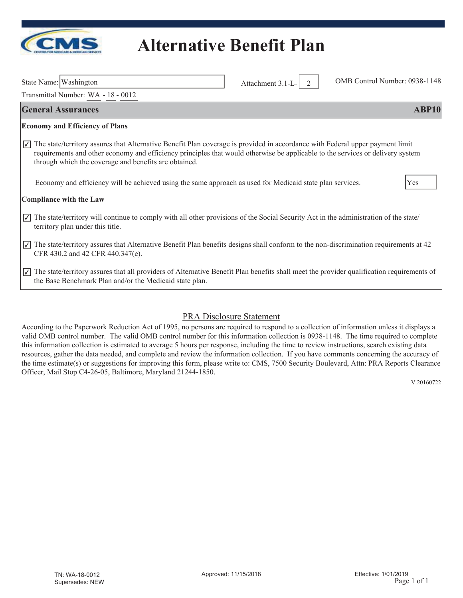

| State Name: Washington |  |
|------------------------|--|
|                        |  |

Transmittal Number: WA - 18 - 0012

Attachment 3.1-L- 2 OMB Control Number: 0938-1148

| <b>General Assurances</b>                                                                                                                                                                                                                                                                                                                        | <b>ABP10</b> |  |
|--------------------------------------------------------------------------------------------------------------------------------------------------------------------------------------------------------------------------------------------------------------------------------------------------------------------------------------------------|--------------|--|
| <b>Economy and Efficiency of Plans</b>                                                                                                                                                                                                                                                                                                           |              |  |
| The state/territory assures that Alternative Benefit Plan coverage is provided in accordance with Federal upper payment limit<br>$\vert \sqrt{\vert}$<br>requirements and other economy and efficiency principles that would otherwise be applicable to the services or delivery system<br>through which the coverage and benefits are obtained. |              |  |
| Economy and efficiency will be achieved using the same approach as used for Medicaid state plan services.                                                                                                                                                                                                                                        | Yes          |  |
| <b>Compliance with the Law</b>                                                                                                                                                                                                                                                                                                                   |              |  |
| $\boxed{\check{y}}$ The state/territory will continue to comply with all other provisions of the Social Security Act in the administration of the state/<br>territory plan under this title.                                                                                                                                                     |              |  |
| $\sqrt{7}$ The state/territory assures that Alternative Benefit Plan benefits designs shall conform to the non-discrimination requirements at 42<br>CFR 430.2 and 42 CFR 440.347(e).                                                                                                                                                             |              |  |
| $\sqrt{7}$ The state/territory assures that all providers of Alternative Benefit Plan benefits shall meet the provider qualification requirements of<br>the Base Benchmark Plan and/or the Medicaid state plan.                                                                                                                                  |              |  |

### PRA Disclosure Statement

According to the Paperwork Reduction Act of 1995, no persons are required to respond to a collection of information unless it displays a valid OMB control number. The valid OMB control number for this information collection is 0938-1148. The time required to complete this information collection is estimated to average 5 hours per response, including the time to review instructions, search existing data resources, gather the data needed, and complete and review the information collection. If you have comments concerning the accuracy of the time estimate(s) or suggestions for improving this form, please write to: CMS, 7500 Security Boulevard, Attn: PRA Reports Clearance Officer, Mail Stop C4-26-05, Baltimore, Maryland 21244-1850.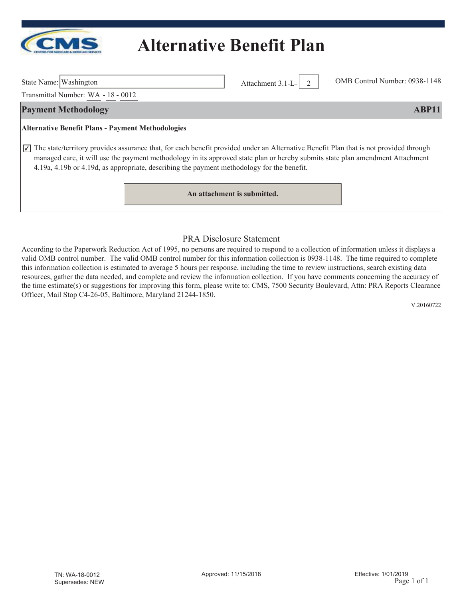

State Name: Washington Attachment 3.1-L- 2 OMB Control Number: 0938-1148

Transmittal Number: WA - 18 - 0012

#### **Payment Methodology ABP11**

#### **Alternative Benefit Plans - Payment Methodologies**

 $\overline{\mathcal{L}}$  The state/territory provides assurance that, for each benefit provided under an Alternative Benefit Plan that is not provided through managed care, it will use the payment methodology in its approved state plan or hereby submits state plan amendment Attachment 4.19a, 4.19b or 4.19d, as appropriate, describing the payment methodology for the benefit.

**An attachment is submitted.**

#### PRA Disclosure Statement

According to the Paperwork Reduction Act of 1995, no persons are required to respond to a collection of information unless it displays a valid OMB control number. The valid OMB control number for this information collection is 0938-1148. The time required to complete this information collection is estimated to average 5 hours per response, including the time to review instructions, search existing data resources, gather the data needed, and complete and review the information collection. If you have comments concerning the accuracy of the time estimate(s) or suggestions for improving this form, please write to: CMS, 7500 Security Boulevard, Attn: PRA Reports Clearance Officer, Mail Stop C4-26-05, Baltimore, Maryland 21244-1850.